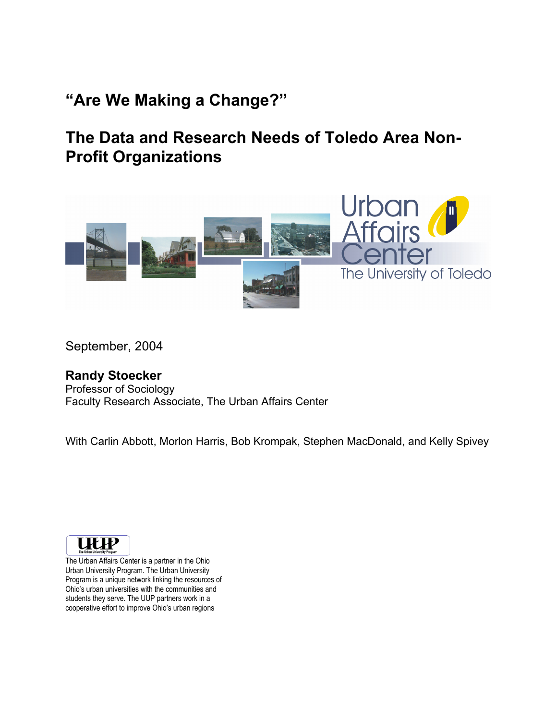# **"Are We Making a Change?"**

# **The Data and Research Needs of Toledo Area Non-Profit Organizations**



September, 2004

#### **Randy Stoecker**

Professor of Sociology Faculty Research Associate, The Urban Affairs Center

With Carlin Abbott, Morlon Harris, Bob Krompak, Stephen MacDonald, and Kelly Spivey



The Urban Affairs Center is a partner in the Ohio Urban University Program. The Urban University Program is a unique network linking the resources of Ohio's urban universities with the communities and students they serve. The UUP partners work in a cooperative effort to improve Ohio's urban regions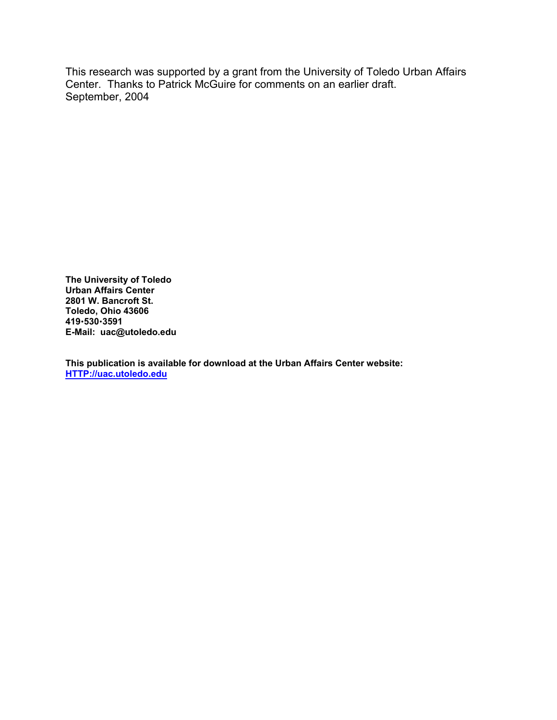This research was supported by a grant from the University of Toledo Urban Affairs Center. Thanks to Patrick McGuire for comments on an earlier draft. September, 2004

**The University of Toledo Urban Affairs Center 2801 W. Bancroft St. Toledo, Ohio 43606 419**x**530**x**3591 E-Mail: uac@utoledo.edu** 

**This publication is available for download at the Urban Affairs Center website: HTTP://uac.utoledo.edu**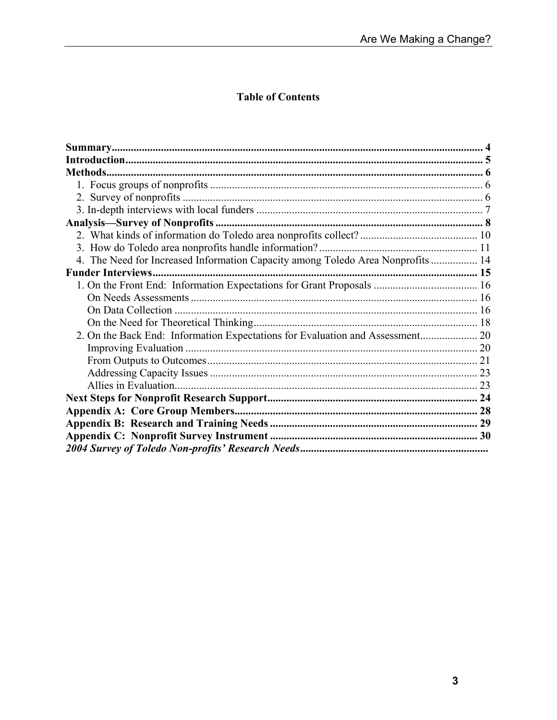### **Table of Contents**

| 4. The Need for Increased Information Capacity among Toledo Area Nonprofits  14 |  |
|---------------------------------------------------------------------------------|--|
|                                                                                 |  |
|                                                                                 |  |
|                                                                                 |  |
|                                                                                 |  |
|                                                                                 |  |
| 2. On the Back End: Information Expectations for Evaluation and Assessment 20   |  |
|                                                                                 |  |
|                                                                                 |  |
|                                                                                 |  |
|                                                                                 |  |
|                                                                                 |  |
|                                                                                 |  |
|                                                                                 |  |
|                                                                                 |  |
|                                                                                 |  |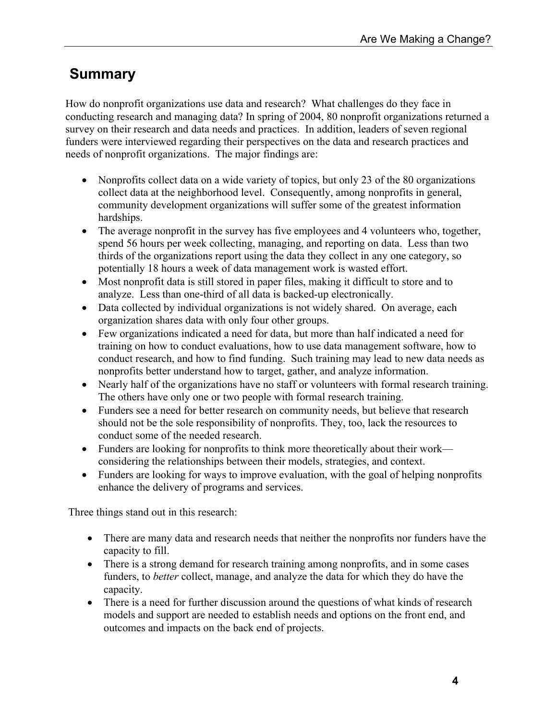# **Summary**

How do nonprofit organizations use data and research? What challenges do they face in conducting research and managing data? In spring of 2004, 80 nonprofit organizations returned a survey on their research and data needs and practices. In addition, leaders of seven regional funders were interviewed regarding their perspectives on the data and research practices and needs of nonprofit organizations. The major findings are:

- Nonprofits collect data on a wide variety of topics, but only 23 of the 80 organizations collect data at the neighborhood level. Consequently, among nonprofits in general, community development organizations will suffer some of the greatest information hardships.
- The average nonprofit in the survey has five employees and 4 volunteers who, together, spend 56 hours per week collecting, managing, and reporting on data. Less than two thirds of the organizations report using the data they collect in any one category, so potentially 18 hours a week of data management work is wasted effort.
- Most nonprofit data is still stored in paper files, making it difficult to store and to analyze. Less than one-third of all data is backed-up electronically.
- Data collected by individual organizations is not widely shared. On average, each organization shares data with only four other groups.
- Few organizations indicated a need for data, but more than half indicated a need for training on how to conduct evaluations, how to use data management software, how to conduct research, and how to find funding. Such training may lead to new data needs as nonprofits better understand how to target, gather, and analyze information.
- Nearly half of the organizations have no staff or volunteers with formal research training. The others have only one or two people with formal research training.
- Funders see a need for better research on community needs, but believe that research should not be the sole responsibility of nonprofits. They, too, lack the resources to conduct some of the needed research.
- Funders are looking for nonprofits to think more theoretically about their work considering the relationships between their models, strategies, and context.
- Funders are looking for ways to improve evaluation, with the goal of helping nonprofits enhance the delivery of programs and services.

Three things stand out in this research:

- There are many data and research needs that neither the nonprofits nor funders have the capacity to fill.
- There is a strong demand for research training among nonprofits, and in some cases funders, to *better* collect, manage, and analyze the data for which they do have the capacity.
- There is a need for further discussion around the questions of what kinds of research models and support are needed to establish needs and options on the front end, and outcomes and impacts on the back end of projects.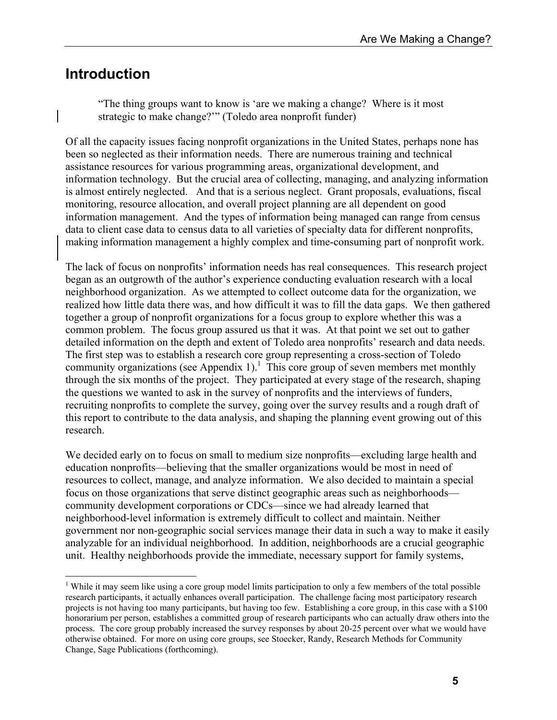### **Introduction**

 $\overline{a}$ 

"The thing groups want to know is 'are we making a change? Where is it most strategic to make change?'" (Toledo area nonprofit funder)

Of all the capacity issues facing nonprofit organizations in the United States, perhaps none has been so neglected as their information needs. There are numerous training and technical assistance resources for various programming areas, organizational development, and information technology. But the crucial area of collecting, managing, and analyzing information is almost entirely neglected. And that is a serious neglect. Grant proposals, evaluations, fiscal monitoring, resource allocation, and overall project planning are all dependent on good information management. And the types of information being managed can range from census data to client case data to census data to all varieties of specialty data for different nonprofits, making information management a highly complex and time-consuming part of nonprofit work.

The lack of focus on nonprofits' information needs has real consequences. This research project began as an outgrowth of the author's experience conducting evaluation research with a local neighborhood organization. As we attempted to collect outcome data for the organization, we realized how little data there was, and how difficult it was to fill the data gaps. We then gathered together a group of nonprofit organizations for a focus group to explore whether this was a common problem. The focus group assured us that it was. At that point we set out to gather detailed information on the depth and extent of Toledo area nonprofits' research and data needs. The first step was to establish a research core group representing a cross-section of Toledo community organizations (see Appendix 1).<sup>1</sup> This core group of seven members met monthly through the six months of the project. They participated at every stage of the research, shaping the questions we wanted to ask in the survey of nonprofits and the interviews of funders, recruiting nonprofits to complete the survey, going over the survey results and a rough draft of this report to contribute to the data analysis, and shaping the planning event growing out of this research.

We decided early on to focus on small to medium size nonprofits—excluding large health and education nonprofits—believing that the smaller organizations would be most in need of resources to collect, manage, and analyze information. We also decided to maintain a special focus on those organizations that serve distinct geographic areas such as neighborhoods community development corporations or CDCs—since we had already learned that neighborhood-level information is extremely difficult to collect and maintain. Neither government nor non-geographic social services manage their data in such a way to make it easily analyzable for an individual neighborhood. In addition, neighborhoods are a crucial geographic unit. Healthy neighborhoods provide the immediate, necessary support for family systems,

<sup>&</sup>lt;sup>1</sup> While it may seem like using a core group model limits participation to only a few members of the total possible research participants, it actually enhances overall participation. The challenge facing most participatory research projects is not having too many participants, but having too few. Establishing a core group, in this case with a \$100 honorarium per person, establishes a committed group of research participants who can actually draw others into the process. The core group probably increased the survey responses by about 20-25 percent over what we would have otherwise obtained. For more on using core groups, see Stoecker, Randy, Research Methods for Community Change, Sage Publications (forthcoming).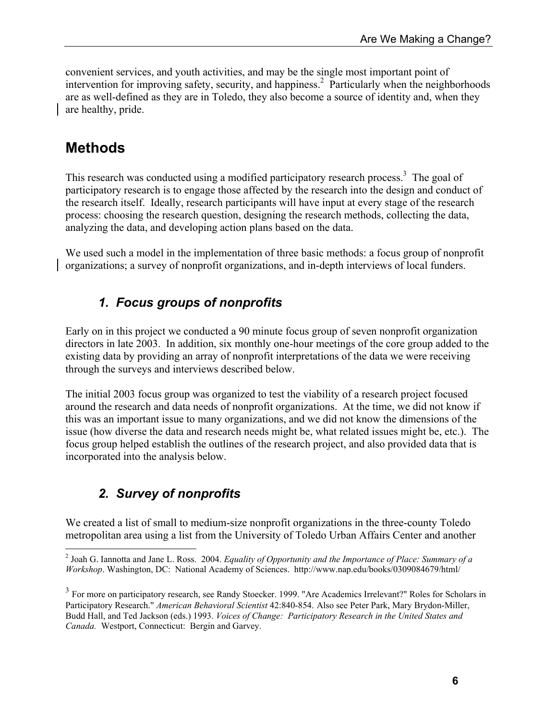convenient services, and youth activities, and may be the single most important point of intervention for improving safety, security, and happiness.<sup>2</sup> Particularly when the neighborhoods are as well-defined as they are in Toledo, they also become a source of identity and, when they are healthy, pride.

## **Methods**

This research was conducted using a modified participatory research process.<sup>3</sup> The goal of participatory research is to engage those affected by the research into the design and conduct of the research itself. Ideally, research participants will have input at every stage of the research process: choosing the research question, designing the research methods, collecting the data, analyzing the data, and developing action plans based on the data.

We used such a model in the implementation of three basic methods: a focus group of nonprofit organizations; a survey of nonprofit organizations, and in-depth interviews of local funders.

### *1. Focus groups of nonprofits*

Early on in this project we conducted a 90 minute focus group of seven nonprofit organization directors in late 2003. In addition, six monthly one-hour meetings of the core group added to the existing data by providing an array of nonprofit interpretations of the data we were receiving through the surveys and interviews described below.

The initial 2003 focus group was organized to test the viability of a research project focused around the research and data needs of nonprofit organizations. At the time, we did not know if this was an important issue to many organizations, and we did not know the dimensions of the issue (how diverse the data and research needs might be, what related issues might be, etc.). The focus group helped establish the outlines of the research project, and also provided data that is incorporated into the analysis below.

## *2. Survey of nonprofits*

We created a list of small to medium-size nonprofit organizations in the three-county Toledo metropolitan area using a list from the University of Toledo Urban Affairs Center and another

 2 Joah G. Iannotta and Jane L. Ross. 2004. *Equality of Opportunity and the Importance of Place: Summary of a Workshop*. Washington, DC: National Academy of Sciences. http://www.nap.edu/books/0309084679/html/

<sup>&</sup>lt;sup>3</sup> For more on participatory research, see Randy Stoecker. 1999. "Are Academics Irrelevant?" Roles for Scholars in Participatory Research." *American Behavioral Scientist* 42:840-854. Also see Peter Park, Mary Brydon-Miller, Budd Hall, and Ted Jackson (eds.) 1993. *Voices of Change: Participatory Research in the United States and Canada.* Westport, Connecticut: Bergin and Garvey.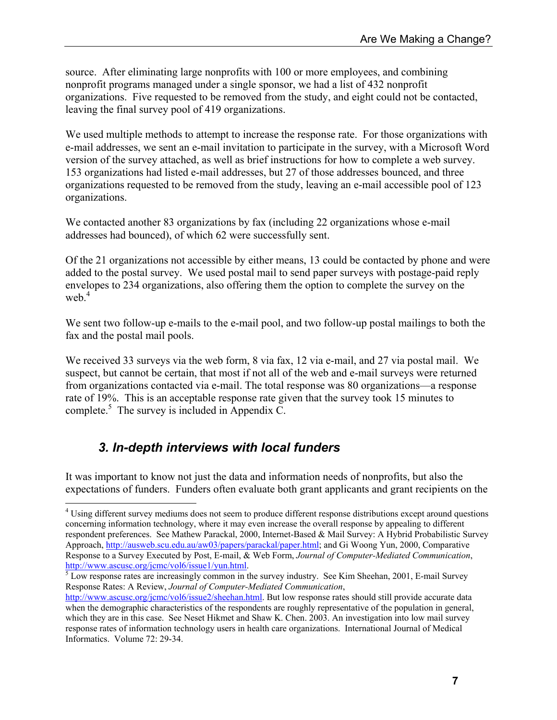source. After eliminating large nonprofits with 100 or more employees, and combining nonprofit programs managed under a single sponsor, we had a list of 432 nonprofit organizations. Five requested to be removed from the study, and eight could not be contacted, leaving the final survey pool of 419 organizations.

We used multiple methods to attempt to increase the response rate. For those organizations with e-mail addresses, we sent an e-mail invitation to participate in the survey, with a Microsoft Word version of the survey attached, as well as brief instructions for how to complete a web survey. 153 organizations had listed e-mail addresses, but 27 of those addresses bounced, and three organizations requested to be removed from the study, leaving an e-mail accessible pool of 123 organizations.

We contacted another 83 organizations by fax (including 22 organizations whose e-mail addresses had bounced), of which 62 were successfully sent.

Of the 21 organizations not accessible by either means, 13 could be contacted by phone and were added to the postal survey. We used postal mail to send paper surveys with postage-paid reply envelopes to 234 organizations, also offering them the option to complete the survey on the web. $4$ 

We sent two follow-up e-mails to the e-mail pool, and two follow-up postal mailings to both the fax and the postal mail pools.

We received 33 surveys via the web form, 8 via fax, 12 via e-mail, and 27 via postal mail. We suspect, but cannot be certain, that most if not all of the web and e-mail surveys were returned from organizations contacted via e-mail. The total response was 80 organizations—a response rate of 19%. This is an acceptable response rate given that the survey took 15 minutes to complete.<sup>5</sup> The survey is included in Appendix C.

### *3. In-depth interviews with local funders*

1

It was important to know not just the data and information needs of nonprofits, but also the expectations of funders. Funders often evaluate both grant applicants and grant recipients on the

<sup>&</sup>lt;sup>4</sup> Using different survey mediums does not seem to produce different response distributions except around questions concerning information technology, where it may even increase the overall response by appealing to different respondent preferences. See Mathew Parackal, 2000, Internet-Based & Mail Survey: A Hybrid Probabilistic Survey Approach, http://ausweb.scu.edu.au/aw03/papers/parackal/paper.html; and Gi Woong Yun, 2000, Comparative Response to a Survey Executed by Post, E-mail, & Web Form, *Journal of Computer-Mediated Communication*, http://www.ascusc.org/jcmc/vol6/issue1/yun.html.

<sup>&</sup>lt;sup>5</sup> Low response rates are increasingly common in the survey industry. See Kim Sheehan, 2001, E-mail Survey Response Rates: A Review, *Journal of Computer-Mediated Communication*,

http://www.ascusc.org/jcmc/vol6/issue2/sheehan.html. But low response rates should still provide accurate data when the demographic characteristics of the respondents are roughly representative of the population in general, which they are in this case. See Neset Hikmet and Shaw K. Chen. 2003. An investigation into low mail survey response rates of information technology users in health care organizations. International Journal of Medical Informatics. Volume 72: 29-34.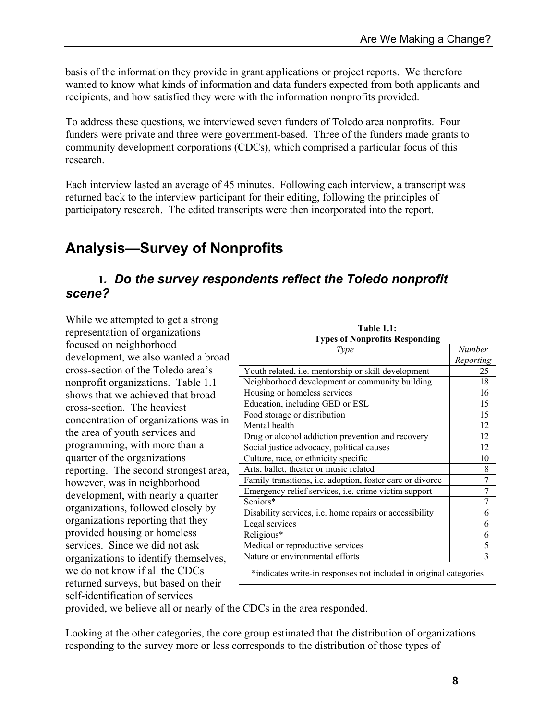basis of the information they provide in grant applications or project reports. We therefore wanted to know what kinds of information and data funders expected from both applicants and recipients, and how satisfied they were with the information nonprofits provided.

To address these questions, we interviewed seven funders of Toledo area nonprofits. Four funders were private and three were government-based. Three of the funders made grants to community development corporations (CDCs), which comprised a particular focus of this research.

Each interview lasted an average of 45 minutes. Following each interview, a transcript was returned back to the interview participant for their editing, following the principles of participatory research. The edited transcripts were then incorporated into the report.

# **Analysis—Survey of Nonprofits**

#### **1***. Do the survey respondents reflect the Toledo nonprofit scene?*

While we attempted to get a strong representation of organizations focused on neighborhood development, we also wanted a broad cross-section of the Toledo area's nonprofit organizations. Table 1.1 shows that we achieved that broad cross-section. The heaviest concentration of organizations was in the area of youth services and programming, with more than a quarter of the organizations reporting. The second strongest area, however, was in neighborhood development, with nearly a quarter organizations, followed closely by organizations reporting that they provided housing or homeless services. Since we did not ask organizations to identify themselves, we do not know if all the CDCs returned surveys, but based on their self-identification of services

| <b>Table 1.1:</b>                                                 |           |  |
|-------------------------------------------------------------------|-----------|--|
| <b>Types of Nonprofits Responding</b>                             |           |  |
| Type                                                              | Number    |  |
|                                                                   | Reporting |  |
| Youth related, i.e. mentorship or skill development               | 25        |  |
| Neighborhood development or community building                    | 18        |  |
| Housing or homeless services                                      | 16        |  |
| Education, including GED or ESL                                   | 15        |  |
| Food storage or distribution                                      | 15        |  |
| Mental health                                                     | 12        |  |
| Drug or alcohol addiction prevention and recovery                 | 12        |  |
| Social justice advocacy, political causes                         | 12        |  |
| Culture, race, or ethnicity specific                              | 10        |  |
| Arts, ballet, theater or music related                            | 8         |  |
| Family transitions, i.e. adoption, foster care or divorce         | 7         |  |
| Emergency relief services, i.e. crime victim support              | 7         |  |
| Seniors*                                                          | 7         |  |
| Disability services, i.e. home repairs or accessibility           | 6         |  |
| Legal services                                                    | 6         |  |
| Religious*                                                        | 6         |  |
| Medical or reproductive services                                  | 5         |  |
| Nature or environmental efforts                                   | 3         |  |
| *indicates write-in responses not included in original categories |           |  |

provided, we believe all or nearly of the CDCs in the area responded.

Looking at the other categories, the core group estimated that the distribution of organizations responding to the survey more or less corresponds to the distribution of those types of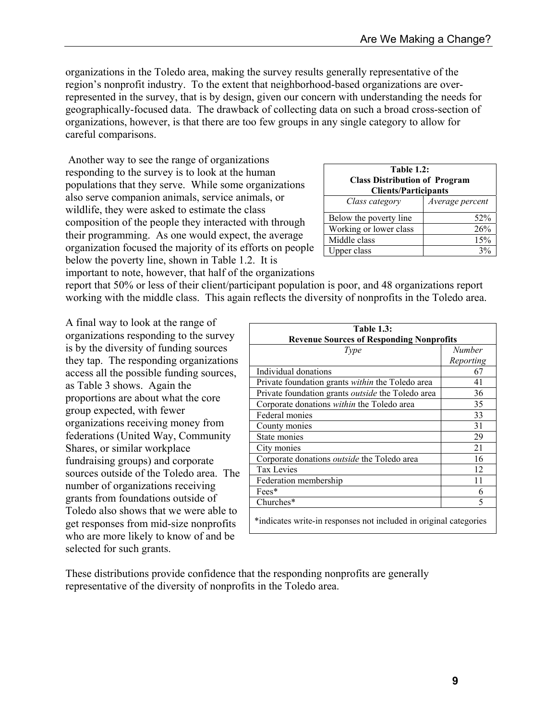organizations in the Toledo area, making the survey results generally representative of the region's nonprofit industry. To the extent that neighborhood-based organizations are overrepresented in the survey, that is by design, given our concern with understanding the needs for geographically-focused data. The drawback of collecting data on such a broad cross-section of organizations, however, is that there are too few groups in any single category to allow for careful comparisons.

 Another way to see the range of organizations responding to the survey is to look at the human populations that they serve. While some organizations also serve companion animals, service animals, or wildlife, they were asked to estimate the class composition of the people they interacted with through their programming. As one would expect, the average organization focused the majority of its efforts on people below the poverty line, shown in Table 1.2. It is

| <b>Table 1.2:</b><br><b>Class Distribution of Program</b><br><b>Clients/Participants</b> |                 |
|------------------------------------------------------------------------------------------|-----------------|
| Class category                                                                           | Average percent |
| Below the poverty line                                                                   | 52%             |
| Working or lower class                                                                   | 26%             |
| Middle class                                                                             | 15%             |
| Upper class                                                                              |                 |

important to note, however, that half of the organizations

report that 50% or less of their client/participant population is poor, and 48 organizations report working with the middle class. This again reflects the diversity of nonprofits in the Toledo area.

A final way to look at the range of organizations responding to the survey is by the diversity of funding sources they tap. The responding organizations access all the possible funding sources, as Table 3 shows. Again the proportions are about what the core group expected, with fewer organizations receiving money from federations (United Way, Community Shares, or similar workplace fundraising groups) and corporate sources outside of the Toledo area. The number of organizations receiving grants from foundations outside of Toledo also shows that we were able to get responses from mid-size nonprofits who are more likely to know of and be selected for such grants.

| <b>Table 1.3:</b>                                                 |               |  |
|-------------------------------------------------------------------|---------------|--|
| <b>Revenue Sources of Responding Nonprofits</b>                   |               |  |
| Type                                                              | <b>Number</b> |  |
|                                                                   | Reporting     |  |
| Individual donations                                              | 67            |  |
| Private foundation grants within the Toledo area                  | 41            |  |
| Private foundation grants <i>outside</i> the Toledo area          | 36            |  |
| Corporate donations within the Toledo area                        | 35            |  |
| Federal monies                                                    | 33            |  |
| County monies                                                     | 31            |  |
| State monies                                                      | 29            |  |
| City monies                                                       | 21            |  |
| Corporate donations <i>outside</i> the Toledo area                | 16            |  |
| <b>Tax Levies</b>                                                 | 12            |  |
| Federation membership                                             | 11            |  |
| $Fees*$                                                           | 6             |  |
| Churches*                                                         | 5             |  |
| *indicates write-in responses not included in original categories |               |  |

These distributions provide confidence that the responding nonprofits are generally representative of the diversity of nonprofits in the Toledo area.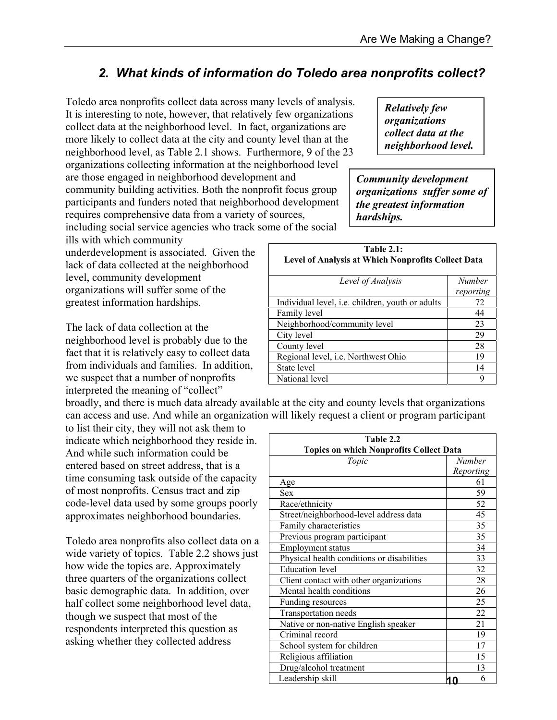### *2. What kinds of information do Toledo area nonprofits collect?*

Toledo area nonprofits collect data across many levels of analysis. It is interesting to note, however, that relatively few organizations collect data at the neighborhood level. In fact, organizations are more likely to collect data at the city and county level than at the neighborhood level, as Table 2.1 shows. Furthermore, 9 of the 23

organizations collecting information at the neighborhood level are those engaged in neighborhood development and community building activities. Both the nonprofit focus group participants and funders noted that neighborhood development requires comprehensive data from a variety of sources,

including social service agencies who track some of the social ills with which community

underdevelopment is associated. Given the lack of data collected at the neighborhood level, community development organizations will suffer some of the

greatest information hardships.

The lack of data collection at the neighborhood level is probably due to the fact that it is relatively easy to collect data from individuals and families. In addition, we suspect that a number of nonprofits interpreted the meaning of "collect"

broadly, and there is much data already available at the city and county levels that organizations can access and use. And while an organization will likely request a client or program participant

to list their city, they will not ask them to indicate which neighborhood they reside in. And while such information could be entered based on street address, that is a time consuming task outside of the capacity of most nonprofits. Census tract and zip code-level data used by some groups poorly approximates neighborhood boundaries.

*Relatively few organizations collect data at the neighborhood level.*

*Community development organizations suffer some of the greatest information hardships.*

| Table $2.1:$<br><b>Level of Analysis at Which Nonprofits Collect Data</b> |                     |  |
|---------------------------------------------------------------------------|---------------------|--|
| Level of Analysis                                                         | Number<br>reporting |  |
| Individual laval i.e. abildron youth or adults                            |                     |  |

| Individual level, <i>i.e.</i> children, youth or adults | 72 |
|---------------------------------------------------------|----|
| Family level                                            | 44 |
| Neighborhood/community level                            | 23 |
| City level                                              | 29 |
| County level                                            | 28 |
| Regional level, i.e. Northwest Ohio                     | 19 |
| State level                                             | 14 |
| National level                                          |    |

| to iist their city, they will not ask them to |                                                |           |
|-----------------------------------------------|------------------------------------------------|-----------|
| indicate which neighborhood they reside in.   | Table 2.2                                      |           |
| And while such information could be           | <b>Topics on which Nonprofits Collect Data</b> |           |
| entered based on street address, that is a    | Topic                                          | Number    |
|                                               |                                                | Reporting |
| time consuming task outside of the capacity   | Age                                            | 61        |
| of most nonprofits. Census tract and zip      | Sex                                            | 59        |
| code-level data used by some groups poorly    | Race/ethnicity                                 | 52        |
| approximates neighborhood boundaries.         | Street/neighborhood-level address data         | 45        |
|                                               | Family characteristics                         | 35        |
| Toledo area nonprofits also collect data on a | Previous program participant                   | 35        |
|                                               | <b>Employment status</b>                       | 34        |
| wide variety of topics. Table 2.2 shows just  | Physical health conditions or disabilities     | 33        |
| how wide the topics are. Approximately        | <b>Education</b> level                         | 32        |
| three quarters of the organizations collect   | Client contact with other organizations        | 28        |
| basic demographic data. In addition, over     | Mental health conditions                       | 26        |
| half collect some neighborhood level data,    | Funding resources                              | 25        |
| though we suspect that most of the            | Transportation needs                           | 22        |
| respondents interpreted this question as      | Native or non-native English speaker           | 21        |
|                                               | Criminal record                                | 19        |
| asking whether they collected address         | School system for children                     | 17        |
|                                               | Religious affiliation                          | 15        |
|                                               | Drug/alcohol treatment                         | 13        |
|                                               | Leadership skill                               | 6<br>10   |
|                                               |                                                |           |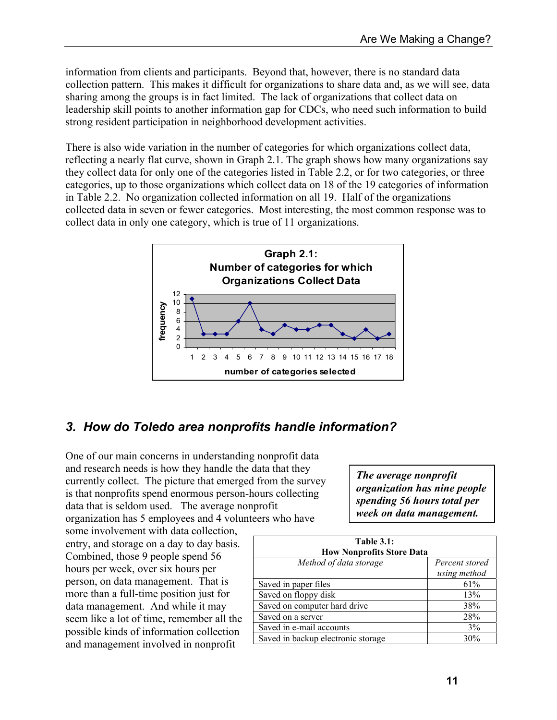information from clients and participants. Beyond that, however, there is no standard data collection pattern. This makes it difficult for organizations to share data and, as we will see, data sharing among the groups is in fact limited. The lack of organizations that collect data on leadership skill points to another information gap for CDCs, who need such information to build strong resident participation in neighborhood development activities.

There is also wide variation in the number of categories for which organizations collect data, reflecting a nearly flat curve, shown in Graph 2.1. The graph shows how many organizations say they collect data for only one of the categories listed in Table 2.2, or for two categories, or three categories, up to those organizations which collect data on 18 of the 19 categories of information in Table 2.2. No organization collected information on all 19. Half of the organizations collected data in seven or fewer categories. Most interesting, the most common response was to collect data in only one category, which is true of 11 organizations.



### *3. How do Toledo area nonprofits handle information?*

One of our main concerns in understanding nonprofit data and research needs is how they handle the data that they currently collect. The picture that emerged from the survey is that nonprofits spend enormous person-hours collecting data that is seldom used. The average nonprofit organization has 5 employees and 4 volunteers who have

some involvement with data collection, entry, and storage on a day to day basis. Combined, those 9 people spend 56 hours per week, over six hours per person, on data management. That is more than a full-time position just for data management. And while it may seem like a lot of time, remember all the possible kinds of information collection and management involved in nonprofit

*The average nonprofit organization has nine people spending 56 hours total per week on data management.*

| <b>Table 3.1:</b><br><b>How Nonprofits Store Data</b> |                                |  |
|-------------------------------------------------------|--------------------------------|--|
| Method of data storage                                | Percent stored<br>using method |  |
| Saved in paper files                                  | 61%                            |  |
| Saved on floppy disk                                  | 13%                            |  |
| Saved on computer hard drive                          | 38%                            |  |
| Saved on a server                                     | 28%                            |  |
| Saved in e-mail accounts                              | 3%                             |  |
| Saved in backup electronic storage                    | 30%                            |  |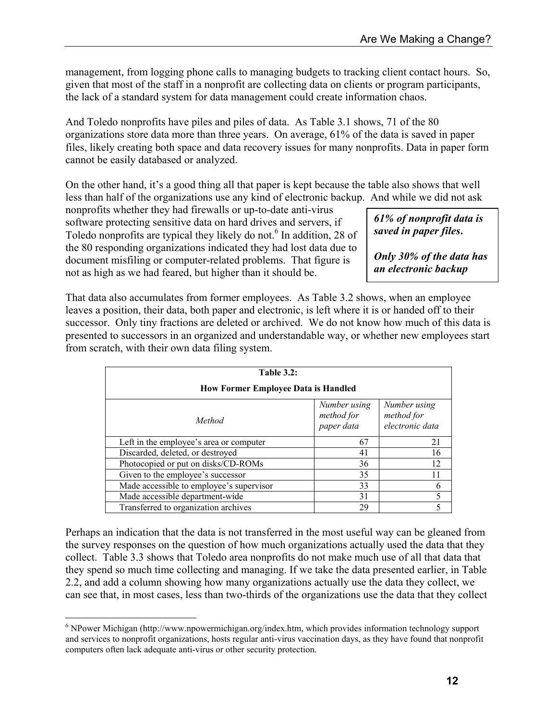management, from logging phone calls to managing budgets to tracking client contact hours. So, given that most of the staff in a nonprofit are collecting data on clients or program participants, the lack of a standard system for data management could create information chaos.

And Toledo nonprofits have piles and piles of data. As Table 3.1 shows, 71 of the 80 organizations store data more than three years. On average, 61% of the data is saved in paper files, likely creating both space and data recovery issues for many nonprofits. Data in paper form cannot be easily databased or analyzed.

On the other hand, it's a good thing all that paper is kept because the table also shows that well less than half of the organizations use any kind of electronic backup. And while we did not ask

nonprofits whether they had firewalls or up-to-date anti-virus software protecting sensitive data on hard drives and servers, if Toledo nonprofits are typical they likely do not.<sup>6</sup> In addition, 28 of the 80 responding organizations indicated they had lost data due to document misfiling or computer-related problems. That figure is not as high as we had feared, but higher than it should be.

*61% of nonprofit data is saved in paper files***.** 

*Only 30% of the data has an electronic backup* 

That data also accumulates from former employees. As Table 3.2 shows, when an employee leaves a position, their data, both paper and electronic, is left where it is or handed off to their successor. Only tiny fractions are deleted or archived. We do not know how much of this data is presented to successors in an organized and understandable way, or whether new employees start from scratch, with their own data filing system.

| <b>Table 3.2:</b><br><b>How Former Employee Data is Handled</b> |    |    |  |
|-----------------------------------------------------------------|----|----|--|
|                                                                 |    |    |  |
| Left in the employee's area or computer                         | 67 | 21 |  |
| Discarded, deleted, or destroyed                                | 41 | 16 |  |
| Photocopied or put on disks/CD-ROMs                             | 36 | 12 |  |
| Given to the employee's successor                               | 35 | 11 |  |
| Made accessible to employee's supervisor                        | 33 | 6  |  |
| Made accessible department-wide                                 | 31 |    |  |
| Transferred to organization archives                            | 29 |    |  |

Perhaps an indication that the data is not transferred in the most useful way can be gleaned from the survey responses on the question of how much organizations actually used the data that they collect. Table 3.3 shows that Toledo area nonprofits do not make much use of all that data that they spend so much time collecting and managing. If we take the data presented earlier, in Table 2.2, and add a column showing how many organizations actually use the data they collect, we can see that, in most cases, less than two-thirds of the organizations use the data that they collect

 $\overline{a}$ <sup>6</sup> NPower Michigan (http://www.npowermichigan.org/index.htm, which provides information technology support and services to nonprofit organizations, hosts regular anti-virus vaccination days, as they have found that nonprofit computers often lack adequate anti-virus or other security protection.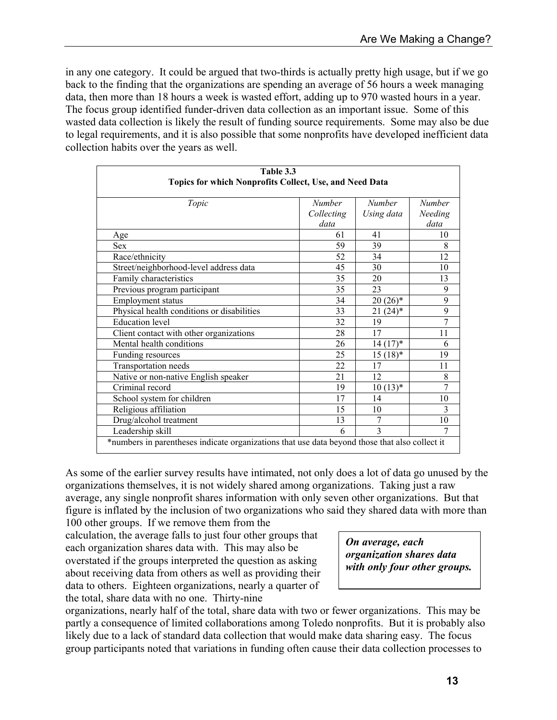in any one category. It could be argued that two-thirds is actually pretty high usage, but if we go back to the finding that the organizations are spending an average of 56 hours a week managing data, then more than 18 hours a week is wasted effort, adding up to 970 wasted hours in a year. The focus group identified funder-driven data collection as an important issue. Some of this wasted data collection is likely the result of funding source requirements. Some may also be due to legal requirements, and it is also possible that some nonprofits have developed inefficient data collection habits over the years as well.

| Table 3.3                                                                                      |               |               |                |  |
|------------------------------------------------------------------------------------------------|---------------|---------------|----------------|--|
| Topics for which Nonprofits Collect, Use, and Need Data                                        |               |               |                |  |
|                                                                                                |               |               |                |  |
| Topic                                                                                          | <b>Number</b> | <b>Number</b> | <b>Number</b>  |  |
|                                                                                                | Collecting    | Using data    | Needing        |  |
|                                                                                                | data          |               | data           |  |
| Age                                                                                            | 61            | 41            | 10             |  |
| <b>Sex</b>                                                                                     | 59            | 39            | 8              |  |
| Race/ethnicity                                                                                 | 52            | 34            | 12             |  |
| Street/neighborhood-level address data                                                         | 45            | 30            | 10             |  |
| Family characteristics                                                                         | 35            | 20            | 13             |  |
| Previous program participant                                                                   | 35            | 23            | 9              |  |
| Employment status                                                                              | 34            | $20(26)$ *    | 9              |  |
| Physical health conditions or disabilities                                                     | 33            | $21(24)$ *    | 9              |  |
| <b>Education</b> level                                                                         | 32            | 19            | $\overline{7}$ |  |
| Client contact with other organizations                                                        | 28            | 17            | 11             |  |
| Mental health conditions                                                                       | 26            | $14(17)^*$    | 6              |  |
| Funding resources                                                                              | 25            | $15(18)$ *    | 19             |  |
| Transportation needs                                                                           | 22            | 17            | 11             |  |
| Native or non-native English speaker                                                           | 21            | 12            | 8              |  |
| Criminal record                                                                                | 19            | $10(13)*$     | 7              |  |
| School system for children                                                                     | 17            | 14            | 10             |  |
| Religious affiliation                                                                          | 15            | 10            | 3              |  |
| Drug/alcohol treatment                                                                         | 13            | 7             | 10             |  |
| Leadership skill                                                                               | 6             | 3             | 7              |  |
| *numbers in parentheses indicate organizations that use data beyond those that also collect it |               |               |                |  |

As some of the earlier survey results have intimated, not only does a lot of data go unused by the organizations themselves, it is not widely shared among organizations. Taking just a raw average, any single nonprofit shares information with only seven other organizations. But that figure is inflated by the inclusion of two organizations who said they shared data with more than 100 other groups. If we remove them from the

calculation, the average falls to just four other groups that each organization shares data with. This may also be overstated if the groups interpreted the question as asking about receiving data from others as well as providing their data to others. Eighteen organizations, nearly a quarter of the total, share data with no one. Thirty-nine

*On average, each organization shares data with only four other groups.* 

organizations, nearly half of the total, share data with two or fewer organizations. This may be partly a consequence of limited collaborations among Toledo nonprofits. But it is probably also likely due to a lack of standard data collection that would make data sharing easy. The focus group participants noted that variations in funding often cause their data collection processes to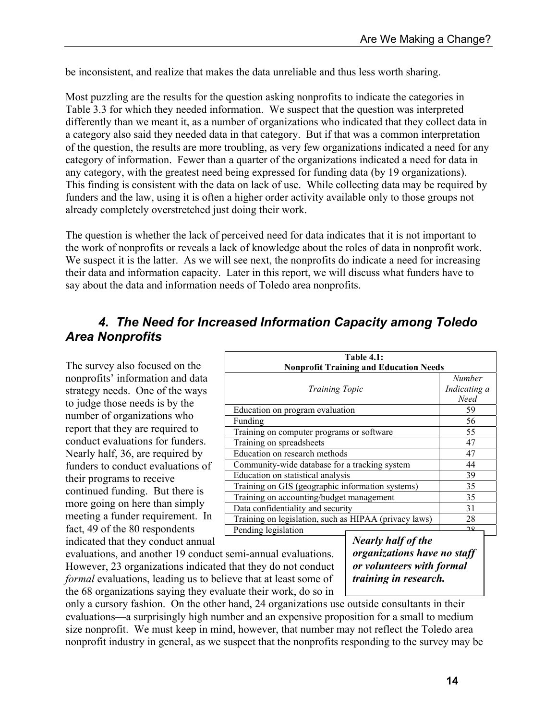be inconsistent, and realize that makes the data unreliable and thus less worth sharing.

Most puzzling are the results for the question asking nonprofits to indicate the categories in Table 3.3 for which they needed information. We suspect that the question was interpreted differently than we meant it, as a number of organizations who indicated that they collect data in a category also said they needed data in that category. But if that was a common interpretation of the question, the results are more troubling, as very few organizations indicated a need for any category of information. Fewer than a quarter of the organizations indicated a need for data in any category, with the greatest need being expressed for funding data (by 19 organizations). This finding is consistent with the data on lack of use. While collecting data may be required by funders and the law, using it is often a higher order activity available only to those groups not already completely overstretched just doing their work.

The question is whether the lack of perceived need for data indicates that it is not important to the work of nonprofits or reveals a lack of knowledge about the roles of data in nonprofit work. We suspect it is the latter. As we will see next, the nonprofits do indicate a need for increasing their data and information capacity. Later in this report, we will discuss what funders have to say about the data and information needs of Toledo area nonprofits.

#### *4. The Need for Increased Information Capacity among Toledo Area Nonprofits*

The survey also focused on the nonprofits' information and data strategy needs. One of the ways to judge those needs is by the number of organizations who report that they are required to conduct evaluations for funders. Nearly half, 36, are required by funders to conduct evaluations of their programs to receive continued funding. But there is more going on here than simply meeting a funder requirement. In fact, 49 of the 80 respondents indicated that they conduct annual

| <b>Table 4.1:</b>                                     |               |  |
|-------------------------------------------------------|---------------|--|
| <b>Nonprofit Training and Education Needs</b>         |               |  |
|                                                       | <b>Number</b> |  |
| <i>Training Topic</i>                                 | Indicating a  |  |
|                                                       | Need          |  |
| Education on program evaluation                       | 59            |  |
| Funding                                               | 56            |  |
| Training on computer programs or software             | 55            |  |
| Training on spreadsheets                              | 47            |  |
| Education on research methods                         | 47            |  |
| Community-wide database for a tracking system         | 44            |  |
| Education on statistical analysis                     | 39            |  |
| Training on GIS (geographic information systems)      | 35            |  |
| Training on accounting/budget management              | 35            |  |
| Data confidentiality and security                     | 31            |  |
| Training on legislation, such as HIPAA (privacy laws) | 28            |  |
| Pending legislation                                   | $\Omega$      |  |

evaluations, and another 19 conduct semi-annual evaluations. However, 23 organizations indicated that they do not conduct *formal* evaluations, leading us to believe that at least some of the 68 organizations saying they evaluate their work, do so in

*Nearly half of the organizations have no staff or volunteers with formal training in research.* 

only a cursory fashion. On the other hand, 24 organizations use outside consultants in their evaluations—a surprisingly high number and an expensive proposition for a small to medium size nonprofit. We must keep in mind, however, that number may not reflect the Toledo area nonprofit industry in general, as we suspect that the nonprofits responding to the survey may be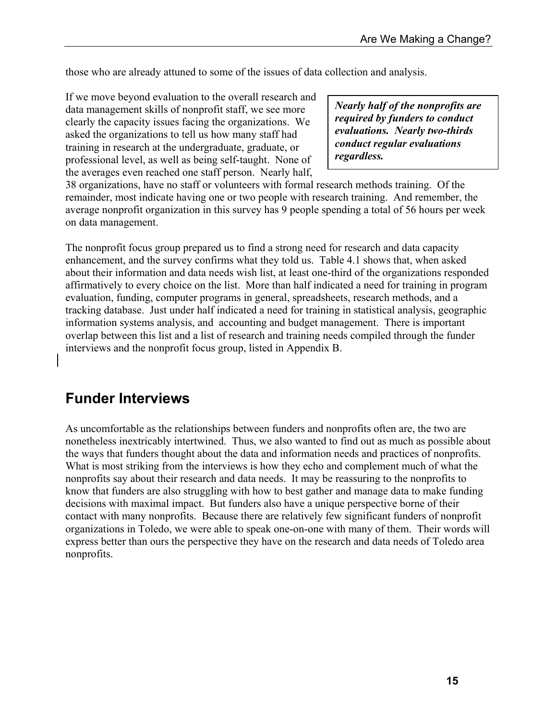those who are already attuned to some of the issues of data collection and analysis.

If we move beyond evaluation to the overall research and data management skills of nonprofit staff, we see more clearly the capacity issues facing the organizations. We asked the organizations to tell us how many staff had training in research at the undergraduate, graduate, or professional level, as well as being self-taught. None of the averages even reached one staff person. Nearly half,

*Nearly half of the nonprofits are required by funders to conduct evaluations. Nearly two-thirds conduct regular evaluations regardless.* 

38 organizations, have no staff or volunteers with formal research methods training. Of the remainder, most indicate having one or two people with research training. And remember, the average nonprofit organization in this survey has 9 people spending a total of 56 hours per week on data management.

The nonprofit focus group prepared us to find a strong need for research and data capacity enhancement, and the survey confirms what they told us. Table 4.1 shows that, when asked about their information and data needs wish list, at least one-third of the organizations responded affirmatively to every choice on the list. More than half indicated a need for training in program evaluation, funding, computer programs in general, spreadsheets, research methods, and a tracking database. Just under half indicated a need for training in statistical analysis, geographic information systems analysis, and accounting and budget management. There is important overlap between this list and a list of research and training needs compiled through the funder interviews and the nonprofit focus group, listed in Appendix B.

## **Funder Interviews**

As uncomfortable as the relationships between funders and nonprofits often are, the two are nonetheless inextricably intertwined. Thus, we also wanted to find out as much as possible about the ways that funders thought about the data and information needs and practices of nonprofits. What is most striking from the interviews is how they echo and complement much of what the nonprofits say about their research and data needs. It may be reassuring to the nonprofits to know that funders are also struggling with how to best gather and manage data to make funding decisions with maximal impact. But funders also have a unique perspective borne of their contact with many nonprofits. Because there are relatively few significant funders of nonprofit organizations in Toledo, we were able to speak one-on-one with many of them. Their words will express better than ours the perspective they have on the research and data needs of Toledo area nonprofits.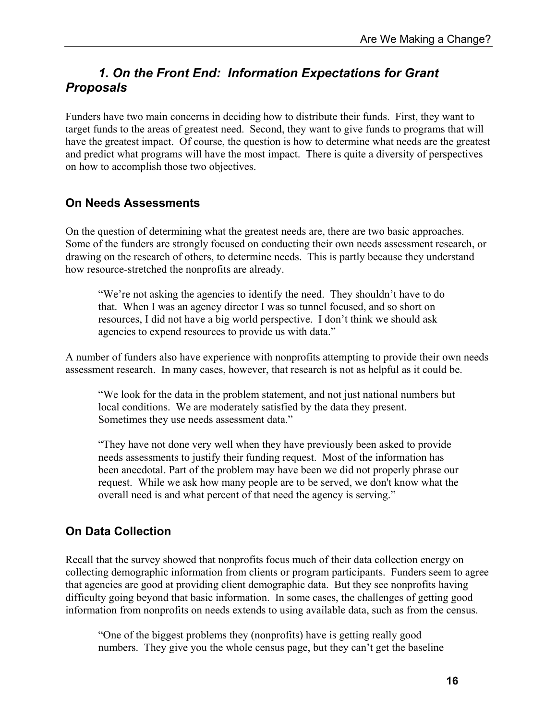### *1. On the Front End: Information Expectations for Grant Proposals*

Funders have two main concerns in deciding how to distribute their funds. First, they want to target funds to the areas of greatest need. Second, they want to give funds to programs that will have the greatest impact. Of course, the question is how to determine what needs are the greatest and predict what programs will have the most impact. There is quite a diversity of perspectives on how to accomplish those two objectives.

#### **On Needs Assessments**

On the question of determining what the greatest needs are, there are two basic approaches. Some of the funders are strongly focused on conducting their own needs assessment research, or drawing on the research of others, to determine needs. This is partly because they understand how resource-stretched the nonprofits are already.

"We're not asking the agencies to identify the need. They shouldn't have to do that. When I was an agency director I was so tunnel focused, and so short on resources, I did not have a big world perspective. I don't think we should ask agencies to expend resources to provide us with data."

A number of funders also have experience with nonprofits attempting to provide their own needs assessment research. In many cases, however, that research is not as helpful as it could be.

"We look for the data in the problem statement, and not just national numbers but local conditions. We are moderately satisfied by the data they present. Sometimes they use needs assessment data."

"They have not done very well when they have previously been asked to provide needs assessments to justify their funding request. Most of the information has been anecdotal. Part of the problem may have been we did not properly phrase our request. While we ask how many people are to be served, we don't know what the overall need is and what percent of that need the agency is serving."

#### **On Data Collection**

Recall that the survey showed that nonprofits focus much of their data collection energy on collecting demographic information from clients or program participants. Funders seem to agree that agencies are good at providing client demographic data. But they see nonprofits having difficulty going beyond that basic information. In some cases, the challenges of getting good information from nonprofits on needs extends to using available data, such as from the census.

"One of the biggest problems they (nonprofits) have is getting really good numbers. They give you the whole census page, but they can't get the baseline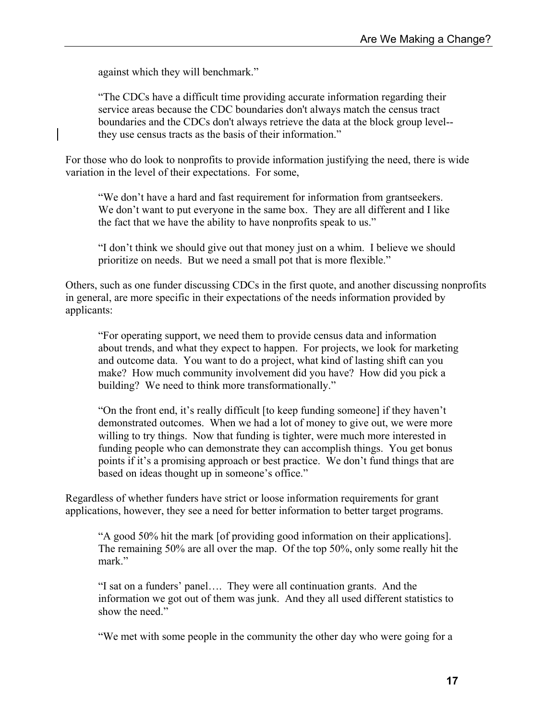against which they will benchmark."

"The CDCs have a difficult time providing accurate information regarding their service areas because the CDC boundaries don't always match the census tract boundaries and the CDCs don't always retrieve the data at the block group level- they use census tracts as the basis of their information."

For those who do look to nonprofits to provide information justifying the need, there is wide variation in the level of their expectations. For some,

"We don't have a hard and fast requirement for information from grantseekers. We don't want to put everyone in the same box. They are all different and I like the fact that we have the ability to have nonprofits speak to us."

"I don't think we should give out that money just on a whim. I believe we should prioritize on needs. But we need a small pot that is more flexible."

Others, such as one funder discussing CDCs in the first quote, and another discussing nonprofits in general, are more specific in their expectations of the needs information provided by applicants:

"For operating support, we need them to provide census data and information about trends, and what they expect to happen. For projects, we look for marketing and outcome data. You want to do a project, what kind of lasting shift can you make? How much community involvement did you have? How did you pick a building? We need to think more transformationally."

"On the front end, it's really difficult [to keep funding someone] if they haven't demonstrated outcomes. When we had a lot of money to give out, we were more willing to try things. Now that funding is tighter, were much more interested in funding people who can demonstrate they can accomplish things. You get bonus points if it's a promising approach or best practice. We don't fund things that are based on ideas thought up in someone's office."

Regardless of whether funders have strict or loose information requirements for grant applications, however, they see a need for better information to better target programs.

"A good 50% hit the mark [of providing good information on their applications]. The remaining 50% are all over the map. Of the top 50%, only some really hit the mark."

"I sat on a funders' panel…. They were all continuation grants. And the information we got out of them was junk. And they all used different statistics to show the need."

"We met with some people in the community the other day who were going for a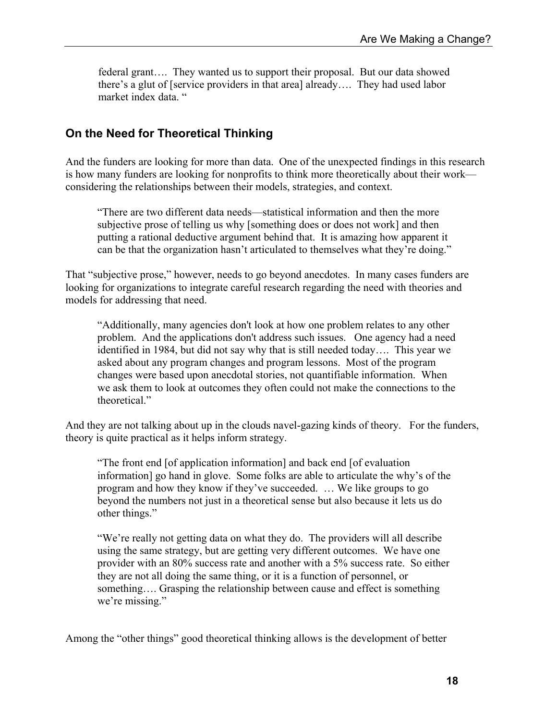federal grant…. They wanted us to support their proposal. But our data showed there's a glut of [service providers in that area] already…. They had used labor market index data. "

#### **On the Need for Theoretical Thinking**

And the funders are looking for more than data. One of the unexpected findings in this research is how many funders are looking for nonprofits to think more theoretically about their work considering the relationships between their models, strategies, and context.

"There are two different data needs—statistical information and then the more subjective prose of telling us why [something does or does not work] and then putting a rational deductive argument behind that. It is amazing how apparent it can be that the organization hasn't articulated to themselves what they're doing."

That "subjective prose," however, needs to go beyond anecdotes. In many cases funders are looking for organizations to integrate careful research regarding the need with theories and models for addressing that need.

"Additionally, many agencies don't look at how one problem relates to any other problem. And the applications don't address such issues. One agency had a need identified in 1984, but did not say why that is still needed today…. This year we asked about any program changes and program lessons. Most of the program changes were based upon anecdotal stories, not quantifiable information. When we ask them to look at outcomes they often could not make the connections to the theoretical."

And they are not talking about up in the clouds navel-gazing kinds of theory. For the funders, theory is quite practical as it helps inform strategy.

"The front end [of application information] and back end [of evaluation information] go hand in glove. Some folks are able to articulate the why's of the program and how they know if they've succeeded. … We like groups to go beyond the numbers not just in a theoretical sense but also because it lets us do other things."

"We're really not getting data on what they do. The providers will all describe using the same strategy, but are getting very different outcomes. We have one provider with an 80% success rate and another with a 5% success rate. So either they are not all doing the same thing, or it is a function of personnel, or something.... Grasping the relationship between cause and effect is something we're missing."

Among the "other things" good theoretical thinking allows is the development of better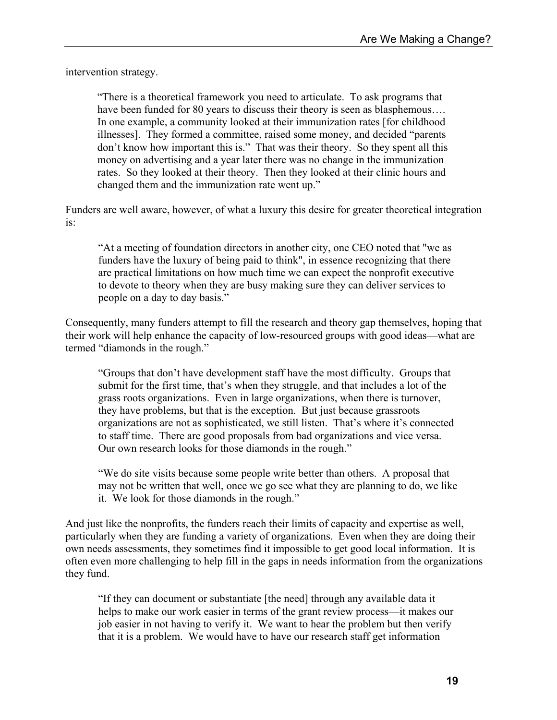intervention strategy.

"There is a theoretical framework you need to articulate. To ask programs that have been funded for 80 years to discuss their theory is seen as blasphemous.... In one example, a community looked at their immunization rates [for childhood illnesses]. They formed a committee, raised some money, and decided "parents don't know how important this is." That was their theory. So they spent all this money on advertising and a year later there was no change in the immunization rates. So they looked at their theory. Then they looked at their clinic hours and changed them and the immunization rate went up."

Funders are well aware, however, of what a luxury this desire for greater theoretical integration is:

"At a meeting of foundation directors in another city, one CEO noted that "we as funders have the luxury of being paid to think", in essence recognizing that there are practical limitations on how much time we can expect the nonprofit executive to devote to theory when they are busy making sure they can deliver services to people on a day to day basis."

Consequently, many funders attempt to fill the research and theory gap themselves, hoping that their work will help enhance the capacity of low-resourced groups with good ideas—what are termed "diamonds in the rough."

"Groups that don't have development staff have the most difficulty. Groups that submit for the first time, that's when they struggle, and that includes a lot of the grass roots organizations. Even in large organizations, when there is turnover, they have problems, but that is the exception. But just because grassroots organizations are not as sophisticated, we still listen. That's where it's connected to staff time. There are good proposals from bad organizations and vice versa. Our own research looks for those diamonds in the rough."

"We do site visits because some people write better than others. A proposal that may not be written that well, once we go see what they are planning to do, we like it. We look for those diamonds in the rough."

And just like the nonprofits, the funders reach their limits of capacity and expertise as well, particularly when they are funding a variety of organizations. Even when they are doing their own needs assessments, they sometimes find it impossible to get good local information. It is often even more challenging to help fill in the gaps in needs information from the organizations they fund.

"If they can document or substantiate [the need] through any available data it helps to make our work easier in terms of the grant review process—it makes our job easier in not having to verify it. We want to hear the problem but then verify that it is a problem. We would have to have our research staff get information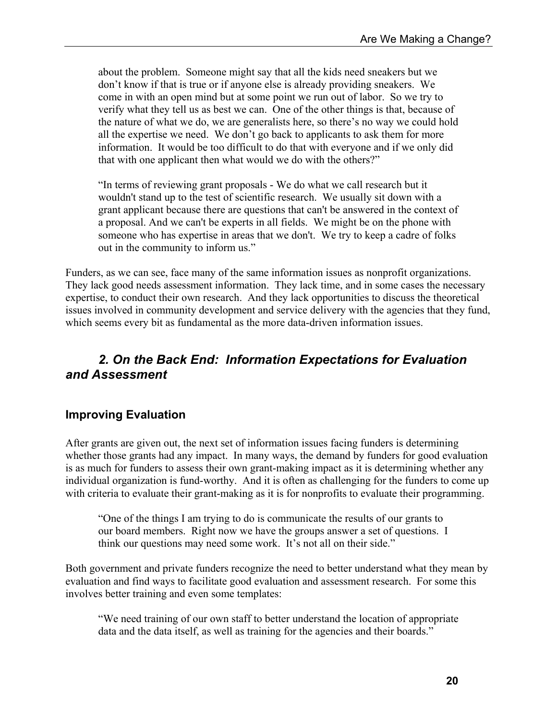about the problem. Someone might say that all the kids need sneakers but we don't know if that is true or if anyone else is already providing sneakers. We come in with an open mind but at some point we run out of labor. So we try to verify what they tell us as best we can. One of the other things is that, because of the nature of what we do, we are generalists here, so there's no way we could hold all the expertise we need. We don't go back to applicants to ask them for more information. It would be too difficult to do that with everyone and if we only did that with one applicant then what would we do with the others?"

"In terms of reviewing grant proposals - We do what we call research but it wouldn't stand up to the test of scientific research. We usually sit down with a grant applicant because there are questions that can't be answered in the context of a proposal. And we can't be experts in all fields. We might be on the phone with someone who has expertise in areas that we don't. We try to keep a cadre of folks out in the community to inform us."

Funders, as we can see, face many of the same information issues as nonprofit organizations. They lack good needs assessment information. They lack time, and in some cases the necessary expertise, to conduct their own research. And they lack opportunities to discuss the theoretical issues involved in community development and service delivery with the agencies that they fund, which seems every bit as fundamental as the more data-driven information issues.

### *2. On the Back End: Information Expectations for Evaluation and Assessment*

### **Improving Evaluation**

After grants are given out, the next set of information issues facing funders is determining whether those grants had any impact. In many ways, the demand by funders for good evaluation is as much for funders to assess their own grant-making impact as it is determining whether any individual organization is fund-worthy. And it is often as challenging for the funders to come up with criteria to evaluate their grant-making as it is for nonprofits to evaluate their programming.

"One of the things I am trying to do is communicate the results of our grants to our board members. Right now we have the groups answer a set of questions. I think our questions may need some work. It's not all on their side."

Both government and private funders recognize the need to better understand what they mean by evaluation and find ways to facilitate good evaluation and assessment research. For some this involves better training and even some templates:

"We need training of our own staff to better understand the location of appropriate data and the data itself, as well as training for the agencies and their boards."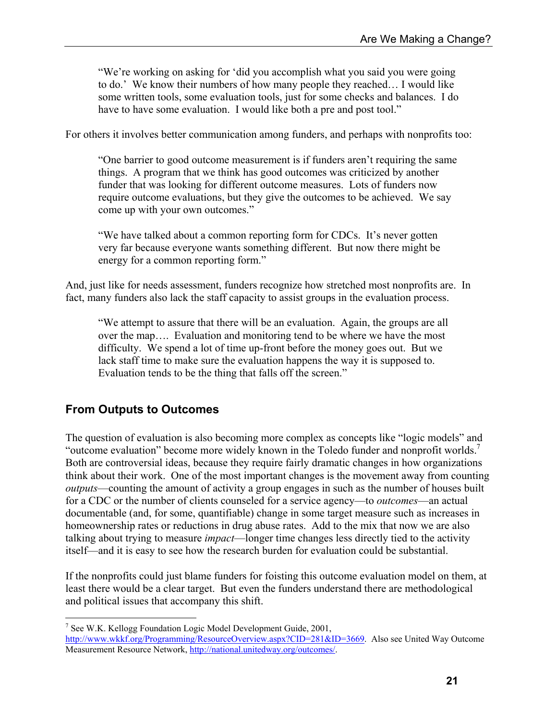"We're working on asking for 'did you accomplish what you said you were going to do.' We know their numbers of how many people they reached… I would like some written tools, some evaluation tools, just for some checks and balances. I do have to have some evaluation. I would like both a pre and post tool."

For others it involves better communication among funders, and perhaps with nonprofits too:

"One barrier to good outcome measurement is if funders aren't requiring the same things. A program that we think has good outcomes was criticized by another funder that was looking for different outcome measures. Lots of funders now require outcome evaluations, but they give the outcomes to be achieved. We say come up with your own outcomes."

"We have talked about a common reporting form for CDCs. It's never gotten very far because everyone wants something different. But now there might be energy for a common reporting form."

And, just like for needs assessment, funders recognize how stretched most nonprofits are. In fact, many funders also lack the staff capacity to assist groups in the evaluation process.

"We attempt to assure that there will be an evaluation. Again, the groups are all over the map…. Evaluation and monitoring tend to be where we have the most difficulty. We spend a lot of time up-front before the money goes out. But we lack staff time to make sure the evaluation happens the way it is supposed to. Evaluation tends to be the thing that falls off the screen."

#### **From Outputs to Outcomes**

1

The question of evaluation is also becoming more complex as concepts like "logic models" and "outcome evaluation" become more widely known in the Toledo funder and nonprofit worlds.7 Both are controversial ideas, because they require fairly dramatic changes in how organizations think about their work. One of the most important changes is the movement away from counting *outputs*—counting the amount of activity a group engages in such as the number of houses built for a CDC or the number of clients counseled for a service agency—to *outcomes*—an actual documentable (and, for some, quantifiable) change in some target measure such as increases in homeownership rates or reductions in drug abuse rates. Add to the mix that now we are also talking about trying to measure *impact*—longer time changes less directly tied to the activity itself—and it is easy to see how the research burden for evaluation could be substantial.

If the nonprofits could just blame funders for foisting this outcome evaluation model on them, at least there would be a clear target. But even the funders understand there are methodological and political issues that accompany this shift.

<sup>&</sup>lt;sup>7</sup> See W.K. Kellogg Foundation Logic Model Development Guide, 2001, http://www.wkkf.org/Programming/ResourceOverview.aspx?CID=281&ID=3669. Also see United Way Outcome Measurement Resource Network, http://national.unitedway.org/outcomes/.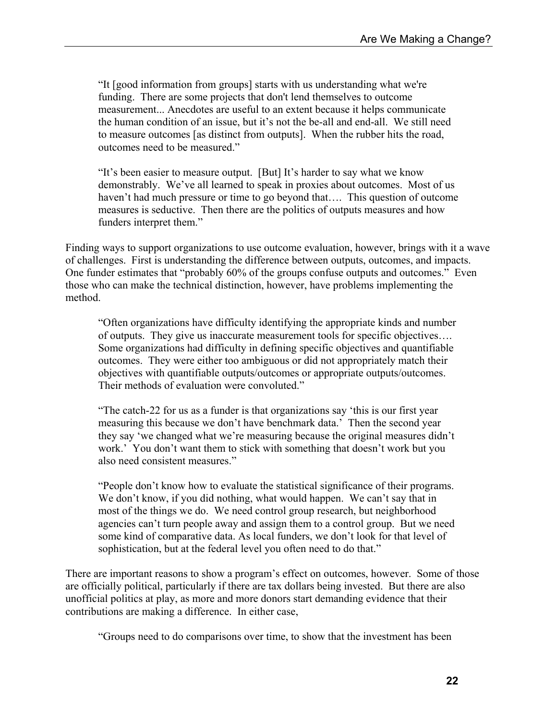"It [good information from groups] starts with us understanding what we're funding. There are some projects that don't lend themselves to outcome measurement... Anecdotes are useful to an extent because it helps communicate the human condition of an issue, but it's not the be-all and end-all. We still need to measure outcomes [as distinct from outputs]. When the rubber hits the road, outcomes need to be measured."

"It's been easier to measure output. [But] It's harder to say what we know demonstrably. We've all learned to speak in proxies about outcomes. Most of us haven't had much pressure or time to go beyond that.... This question of outcome measures is seductive. Then there are the politics of outputs measures and how funders interpret them."

Finding ways to support organizations to use outcome evaluation, however, brings with it a wave of challenges. First is understanding the difference between outputs, outcomes, and impacts. One funder estimates that "probably 60% of the groups confuse outputs and outcomes." Even those who can make the technical distinction, however, have problems implementing the method.

"Often organizations have difficulty identifying the appropriate kinds and number of outputs. They give us inaccurate measurement tools for specific objectives…. Some organizations had difficulty in defining specific objectives and quantifiable outcomes. They were either too ambiguous or did not appropriately match their objectives with quantifiable outputs/outcomes or appropriate outputs/outcomes. Their methods of evaluation were convoluted."

"The catch-22 for us as a funder is that organizations say 'this is our first year measuring this because we don't have benchmark data.' Then the second year they say 'we changed what we're measuring because the original measures didn't work.' You don't want them to stick with something that doesn't work but you also need consistent measures."

"People don't know how to evaluate the statistical significance of their programs. We don't know, if you did nothing, what would happen. We can't say that in most of the things we do. We need control group research, but neighborhood agencies can't turn people away and assign them to a control group. But we need some kind of comparative data. As local funders, we don't look for that level of sophistication, but at the federal level you often need to do that."

There are important reasons to show a program's effect on outcomes, however. Some of those are officially political, particularly if there are tax dollars being invested. But there are also unofficial politics at play, as more and more donors start demanding evidence that their contributions are making a difference. In either case,

"Groups need to do comparisons over time, to show that the investment has been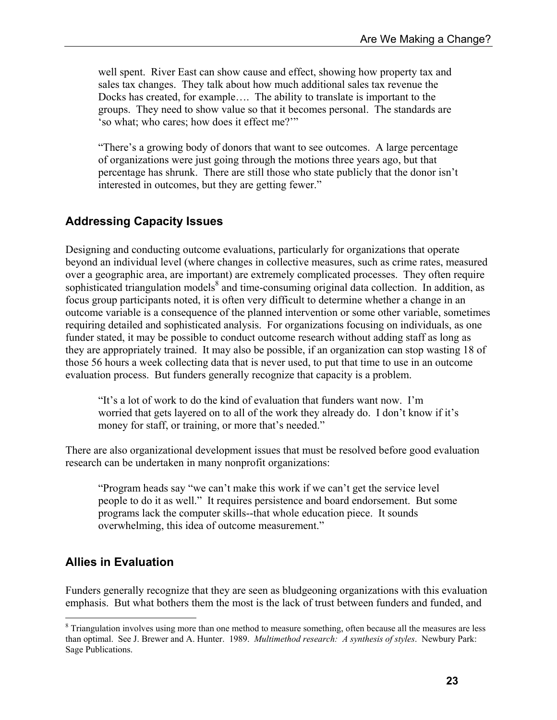well spent. River East can show cause and effect, showing how property tax and sales tax changes. They talk about how much additional sales tax revenue the Docks has created, for example…. The ability to translate is important to the groups. They need to show value so that it becomes personal. The standards are 'so what; who cares; how does it effect me?'"

"There's a growing body of donors that want to see outcomes. A large percentage of organizations were just going through the motions three years ago, but that percentage has shrunk. There are still those who state publicly that the donor isn't interested in outcomes, but they are getting fewer."

#### **Addressing Capacity Issues**

Designing and conducting outcome evaluations, particularly for organizations that operate beyond an individual level (where changes in collective measures, such as crime rates, measured over a geographic area, are important) are extremely complicated processes. They often require sophisticated triangulation models<sup>8</sup> and time-consuming original data collection. In addition, as focus group participants noted, it is often very difficult to determine whether a change in an outcome variable is a consequence of the planned intervention or some other variable, sometimes requiring detailed and sophisticated analysis. For organizations focusing on individuals, as one funder stated, it may be possible to conduct outcome research without adding staff as long as they are appropriately trained. It may also be possible, if an organization can stop wasting 18 of those 56 hours a week collecting data that is never used, to put that time to use in an outcome evaluation process. But funders generally recognize that capacity is a problem.

"It's a lot of work to do the kind of evaluation that funders want now. I'm worried that gets layered on to all of the work they already do. I don't know if it's money for staff, or training, or more that's needed."

There are also organizational development issues that must be resolved before good evaluation research can be undertaken in many nonprofit organizations:

"Program heads say "we can't make this work if we can't get the service level people to do it as well." It requires persistence and board endorsement. But some programs lack the computer skills--that whole education piece. It sounds overwhelming, this idea of outcome measurement."

#### **Allies in Evaluation**

 $\overline{a}$ 

Funders generally recognize that they are seen as bludgeoning organizations with this evaluation emphasis. But what bothers them the most is the lack of trust between funders and funded, and

<sup>&</sup>lt;sup>8</sup> Triangulation involves using more than one method to measure something, often because all the measures are less than optimal. See J. Brewer and A. Hunter. 1989. *Multimethod research: A synthesis of styles*. Newbury Park: Sage Publications.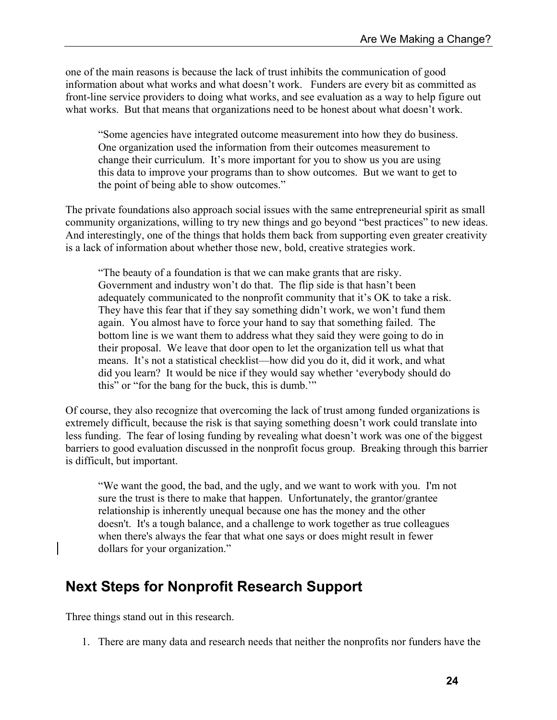one of the main reasons is because the lack of trust inhibits the communication of good information about what works and what doesn't work. Funders are every bit as committed as front-line service providers to doing what works, and see evaluation as a way to help figure out what works. But that means that organizations need to be honest about what doesn't work.

"Some agencies have integrated outcome measurement into how they do business. One organization used the information from their outcomes measurement to change their curriculum. It's more important for you to show us you are using this data to improve your programs than to show outcomes. But we want to get to the point of being able to show outcomes."

The private foundations also approach social issues with the same entrepreneurial spirit as small community organizations, willing to try new things and go beyond "best practices" to new ideas. And interestingly, one of the things that holds them back from supporting even greater creativity is a lack of information about whether those new, bold, creative strategies work.

"The beauty of a foundation is that we can make grants that are risky. Government and industry won't do that. The flip side is that hasn't been adequately communicated to the nonprofit community that it's OK to take a risk. They have this fear that if they say something didn't work, we won't fund them again. You almost have to force your hand to say that something failed. The bottom line is we want them to address what they said they were going to do in their proposal. We leave that door open to let the organization tell us what that means. It's not a statistical checklist—how did you do it, did it work, and what did you learn? It would be nice if they would say whether 'everybody should do this" or "for the bang for the buck, this is dumb.'"

Of course, they also recognize that overcoming the lack of trust among funded organizations is extremely difficult, because the risk is that saying something doesn't work could translate into less funding. The fear of losing funding by revealing what doesn't work was one of the biggest barriers to good evaluation discussed in the nonprofit focus group. Breaking through this barrier is difficult, but important.

"We want the good, the bad, and the ugly, and we want to work with you. I'm not sure the trust is there to make that happen. Unfortunately, the grantor/grantee relationship is inherently unequal because one has the money and the other doesn't. It's a tough balance, and a challenge to work together as true colleagues when there's always the fear that what one says or does might result in fewer dollars for your organization."

## **Next Steps for Nonprofit Research Support**

Three things stand out in this research.

1. There are many data and research needs that neither the nonprofits nor funders have the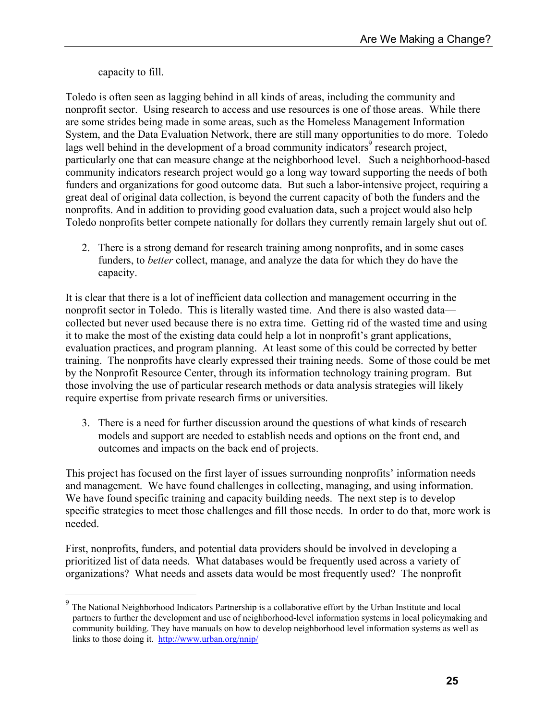capacity to fill.

 $\overline{a}$ 

Toledo is often seen as lagging behind in all kinds of areas, including the community and nonprofit sector. Using research to access and use resources is one of those areas. While there are some strides being made in some areas, such as the Homeless Management Information System, and the Data Evaluation Network, there are still many opportunities to do more. Toledo lags well behind in the development of a broad community indicators<sup>9</sup> research project, particularly one that can measure change at the neighborhood level. Such a neighborhood-based community indicators research project would go a long way toward supporting the needs of both funders and organizations for good outcome data. But such a labor-intensive project, requiring a great deal of original data collection, is beyond the current capacity of both the funders and the nonprofits. And in addition to providing good evaluation data, such a project would also help Toledo nonprofits better compete nationally for dollars they currently remain largely shut out of.

2. There is a strong demand for research training among nonprofits, and in some cases funders, to *better* collect, manage, and analyze the data for which they do have the capacity.

It is clear that there is a lot of inefficient data collection and management occurring in the nonprofit sector in Toledo. This is literally wasted time. And there is also wasted data collected but never used because there is no extra time. Getting rid of the wasted time and using it to make the most of the existing data could help a lot in nonprofit's grant applications, evaluation practices, and program planning. At least some of this could be corrected by better training. The nonprofits have clearly expressed their training needs. Some of those could be met by the Nonprofit Resource Center, through its information technology training program. But those involving the use of particular research methods or data analysis strategies will likely require expertise from private research firms or universities.

3. There is a need for further discussion around the questions of what kinds of research models and support are needed to establish needs and options on the front end, and outcomes and impacts on the back end of projects.

This project has focused on the first layer of issues surrounding nonprofits' information needs and management. We have found challenges in collecting, managing, and using information. We have found specific training and capacity building needs. The next step is to develop specific strategies to meet those challenges and fill those needs. In order to do that, more work is needed.

First, nonprofits, funders, and potential data providers should be involved in developing a prioritized list of data needs. What databases would be frequently used across a variety of organizations? What needs and assets data would be most frequently used? The nonprofit

 $9<sup>9</sup>$  The National Neighborhood Indicators Partnership is a collaborative effort by the Urban Institute and local partners to further the development and use of neighborhood-level information systems in local policymaking and community building. They have manuals on how to develop neighborhood level information systems as well as links to those doing it. http://www.urban.org/nnip/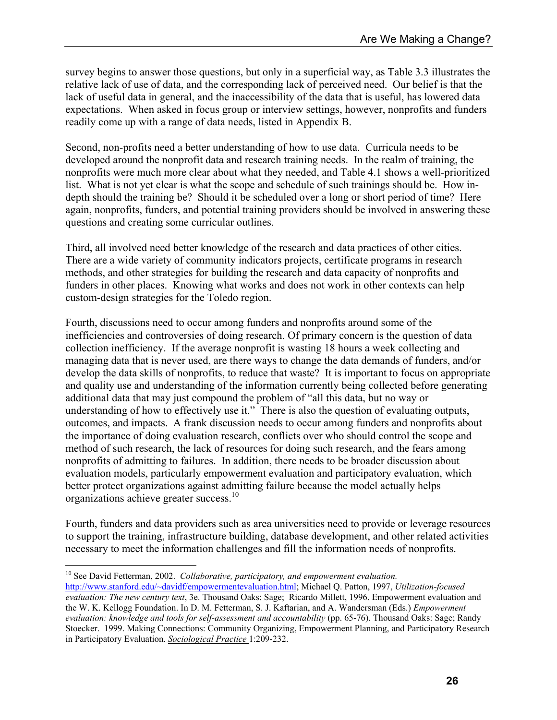survey begins to answer those questions, but only in a superficial way, as Table 3.3 illustrates the relative lack of use of data, and the corresponding lack of perceived need. Our belief is that the lack of useful data in general, and the inaccessibility of the data that is useful, has lowered data expectations. When asked in focus group or interview settings, however, nonprofits and funders readily come up with a range of data needs, listed in Appendix B.

Second, non-profits need a better understanding of how to use data. Curricula needs to be developed around the nonprofit data and research training needs. In the realm of training, the nonprofits were much more clear about what they needed, and Table 4.1 shows a well-prioritized list. What is not yet clear is what the scope and schedule of such trainings should be. How indepth should the training be? Should it be scheduled over a long or short period of time? Here again, nonprofits, funders, and potential training providers should be involved in answering these questions and creating some curricular outlines.

Third, all involved need better knowledge of the research and data practices of other cities. There are a wide variety of community indicators projects, certificate programs in research methods, and other strategies for building the research and data capacity of nonprofits and funders in other places. Knowing what works and does not work in other contexts can help custom-design strategies for the Toledo region.

Fourth, discussions need to occur among funders and nonprofits around some of the inefficiencies and controversies of doing research. Of primary concern is the question of data collection inefficiency. If the average nonprofit is wasting 18 hours a week collecting and managing data that is never used, are there ways to change the data demands of funders, and/or develop the data skills of nonprofits, to reduce that waste? It is important to focus on appropriate and quality use and understanding of the information currently being collected before generating additional data that may just compound the problem of "all this data, but no way or understanding of how to effectively use it." There is also the question of evaluating outputs, outcomes, and impacts. A frank discussion needs to occur among funders and nonprofits about the importance of doing evaluation research, conflicts over who should control the scope and method of such research, the lack of resources for doing such research, and the fears among nonprofits of admitting to failures. In addition, there needs to be broader discussion about evaluation models, particularly empowerment evaluation and participatory evaluation, which better protect organizations against admitting failure because the model actually helps organizations achieve greater success.<sup>10</sup>

Fourth, funders and data providers such as area universities need to provide or leverage resources to support the training, infrastructure building, database development, and other related activities necessary to meet the information challenges and fill the information needs of nonprofits.

 $\overline{a}$ 

<sup>10</sup> See David Fetterman, 2002. *Collaborative, participatory, and empowerment evaluation.* http://www.stanford.edu/~davidf/empowermentevaluation.html; Michael Q. Patton, 1997, *Utilization-focused evaluation: The new century text*, 3e. Thousand Oaks: Sage; Ricardo Millett, 1996. Empowerment evaluation and the W. K. Kellogg Foundation. In D. M. Fetterman, S. J. Kaftarian, and A. Wandersman (Eds.) *Empowerment evaluation: knowledge and tools for self-assessment and accountability* (pp. 65-76). Thousand Oaks: Sage; Randy Stoecker. 1999. Making Connections: Community Organizing, Empowerment Planning, and Participatory Research in Participatory Evaluation. *Sociological Practice* 1:209-232.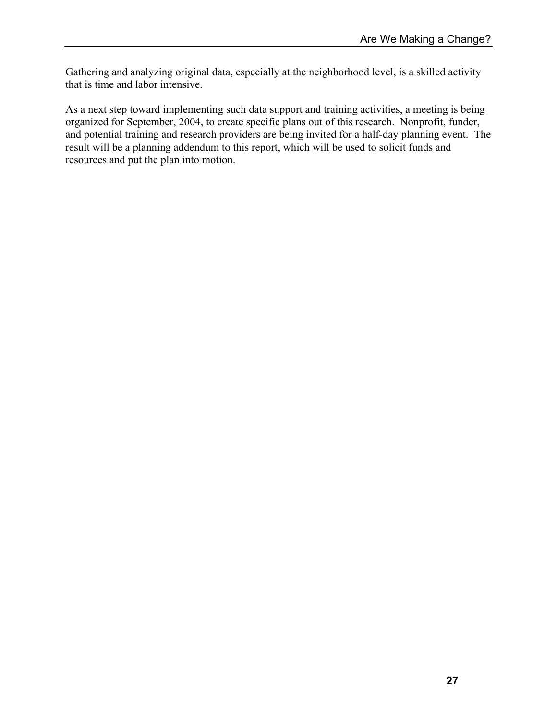Gathering and analyzing original data, especially at the neighborhood level, is a skilled activity that is time and labor intensive.

As a next step toward implementing such data support and training activities, a meeting is being organized for September, 2004, to create specific plans out of this research. Nonprofit, funder, and potential training and research providers are being invited for a half-day planning event. The result will be a planning addendum to this report, which will be used to solicit funds and resources and put the plan into motion.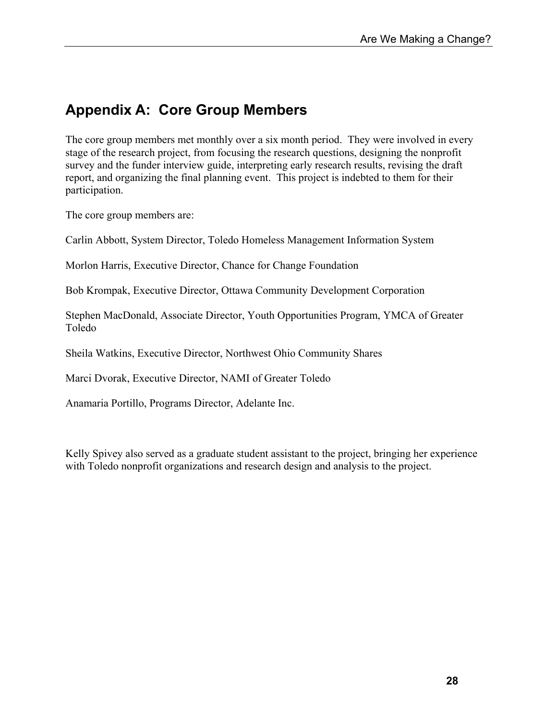## **Appendix A: Core Group Members**

The core group members met monthly over a six month period. They were involved in every stage of the research project, from focusing the research questions, designing the nonprofit survey and the funder interview guide, interpreting early research results, revising the draft report, and organizing the final planning event. This project is indebted to them for their participation.

The core group members are:

Carlin Abbott, System Director, Toledo Homeless Management Information System

Morlon Harris, Executive Director, Chance for Change Foundation

Bob Krompak, Executive Director, Ottawa Community Development Corporation

Stephen MacDonald, Associate Director, Youth Opportunities Program, YMCA of Greater Toledo

Sheila Watkins, Executive Director, Northwest Ohio Community Shares

Marci Dvorak, Executive Director, NAMI of Greater Toledo

Anamaria Portillo, Programs Director, Adelante Inc.

Kelly Spivey also served as a graduate student assistant to the project, bringing her experience with Toledo nonprofit organizations and research design and analysis to the project.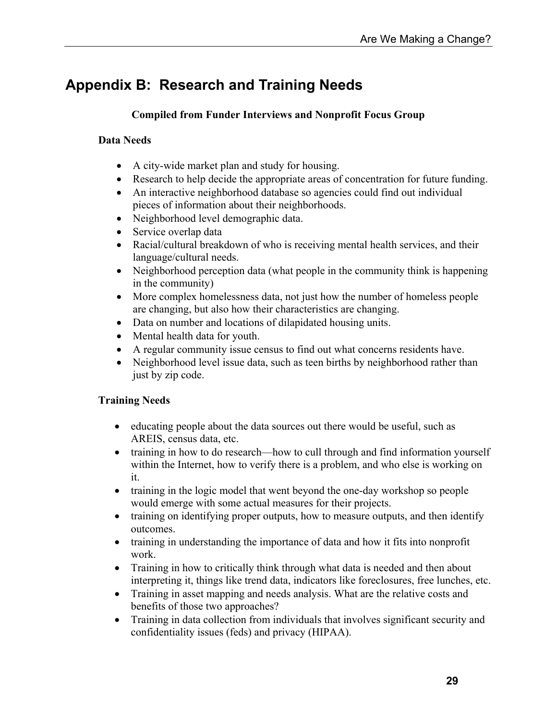# **Appendix B: Research and Training Needs**

#### **Compiled from Funder Interviews and Nonprofit Focus Group**

#### **Data Needs**

- A city-wide market plan and study for housing.
- Research to help decide the appropriate areas of concentration for future funding.
- An interactive neighborhood database so agencies could find out individual pieces of information about their neighborhoods.
- Neighborhood level demographic data.
- Service overlap data
- Racial/cultural breakdown of who is receiving mental health services, and their language/cultural needs.
- Neighborhood perception data (what people in the community think is happening in the community)
- More complex homelessness data, not just how the number of homeless people are changing, but also how their characteristics are changing.
- Data on number and locations of dilapidated housing units.
- Mental health data for youth.
- A regular community issue census to find out what concerns residents have.
- Neighborhood level issue data, such as teen births by neighborhood rather than just by zip code.

#### **Training Needs**

- educating people about the data sources out there would be useful, such as AREIS, census data, etc.
- training in how to do research—how to cull through and find information yourself within the Internet, how to verify there is a problem, and who else is working on it.
- training in the logic model that went beyond the one-day workshop so people would emerge with some actual measures for their projects.
- training on identifying proper outputs, how to measure outputs, and then identify outcomes.
- training in understanding the importance of data and how it fits into nonprofit work.
- Training in how to critically think through what data is needed and then about interpreting it, things like trend data, indicators like foreclosures, free lunches, etc.
- Training in asset mapping and needs analysis. What are the relative costs and benefits of those two approaches?
- Training in data collection from individuals that involves significant security and confidentiality issues (feds) and privacy (HIPAA).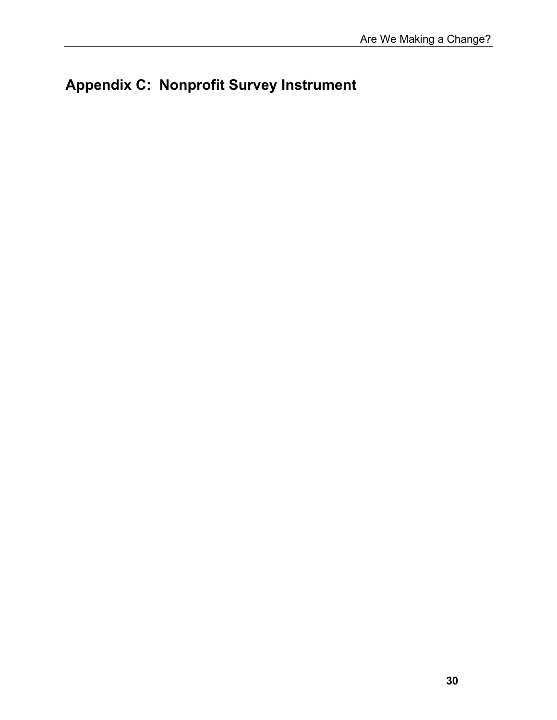# **Appendix C: Nonprofit Survey Instrument**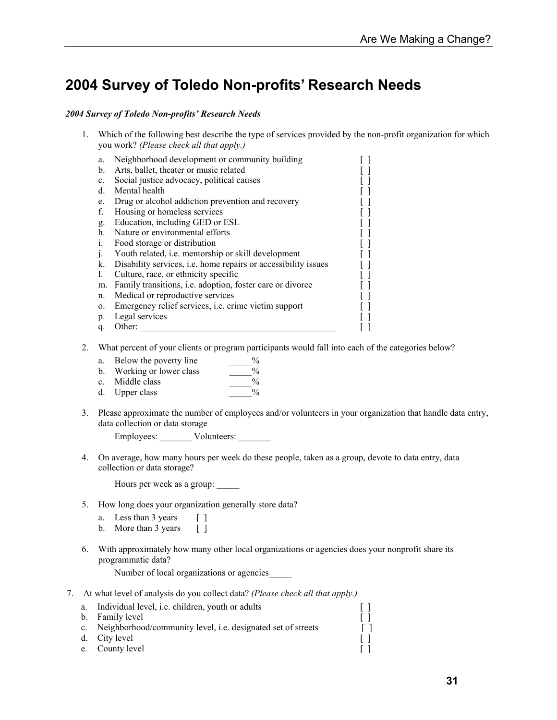### **2004 Survey of Toledo Non-profits' Research Needs**

#### *2004 Survey of Toledo Non-profits' Research Needs*

1. Which of the following best describe the type of services provided by the non-profit organization for which you work? *(Please check all that apply.)* 

| a.             | Neighborhood development or community building                        |  |
|----------------|-----------------------------------------------------------------------|--|
| $\mathbf b$ .  | Arts, ballet, theater or music related                                |  |
| $\mathbf{c}$ . | Social justice advocacy, political causes                             |  |
| d.             | Mental health                                                         |  |
| e.             | Drug or alcohol addiction prevention and recovery                     |  |
| f.             | Housing or homeless services                                          |  |
| g.             | Education, including GED or ESL                                       |  |
| h.             | Nature or environmental efforts                                       |  |
| i.             | Food storage or distribution                                          |  |
| j.             | Youth related, <i>i.e.</i> mentorship or skill development            |  |
| k.             | Disability services, <i>i.e.</i> home repairs or accessibility issues |  |
| 1.             | Culture, race, or ethnicity specific                                  |  |
| m.             | Family transitions, <i>i.e.</i> adoption, foster care or divorce      |  |
| n.             | Medical or reproductive services                                      |  |
| 0.             | Emergency relief services, <i>i.e.</i> crime victim support           |  |
| p.             | Legal services                                                        |  |
| q.             | Other:                                                                |  |
|                |                                                                       |  |

2. What percent of your clients or program participants would fall into each of the categories below?

| a.          | Below the poverty line | $\frac{0}{0}$ |
|-------------|------------------------|---------------|
| b.          | Working or lower class | $\frac{0}{0}$ |
| $c_{\cdot}$ | Middle class           | $\frac{0}{0}$ |
|             | d. Upper class         | $\frac{0}{0}$ |

3. Please approximate the number of employees and/or volunteers in your organization that handle data entry, data collection or data storage

Employees: Volunteers:

4. On average, how many hours per week do these people, taken as a group, devote to data entry, data collection or data storage?

Hours per week as a group: \_\_\_\_\_

- 5. How long does your organization generally store data?
	- a. Less than 3 years [ ]
	- b. More than 3 years [ ]
- 6. With approximately how many other local organizations or agencies does your nonprofit share its programmatic data?

Number of local organizations or agencies\_\_\_\_\_

- 7. At what level of analysis do you collect data? *(Please check all that apply.)* 
	- a. Individual level, i.e. children, youth or adults [ ] b. Family level [ ] c. Neighborhood/community level, i.e. designated set of streets [ ] d. City level [ ] e. County level [ ]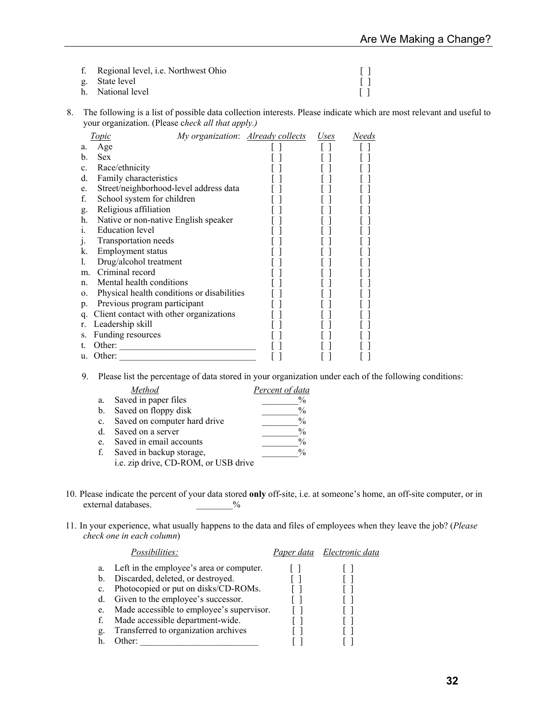| f. Regional level, <i>i.e.</i> Northwest Ohio |  |
|-----------------------------------------------|--|
| g. State level                                |  |
| h. National level                             |  |

8. The following is a list of possible data collection interests. Please indicate which are most relevant and useful to your organization. (Please c*heck all that apply.)* 

|                | Topic                                      | My organization: <b>Already collects</b> | Uses | Needs |
|----------------|--------------------------------------------|------------------------------------------|------|-------|
| a.             | Age                                        |                                          |      |       |
| b.             | <b>Sex</b>                                 |                                          |      |       |
| $\mathbf{c}$ . | Race/ethnicity                             |                                          |      |       |
| d.             | Family characteristics                     |                                          |      |       |
| e.             | Street/neighborhood-level address data     |                                          |      |       |
| f.             | School system for children                 |                                          |      |       |
| g.             | Religious affiliation                      |                                          |      |       |
| h.             | Native or non-native English speaker       |                                          |      |       |
| i.             | <b>Education</b> level                     |                                          |      |       |
| $\cdot$        | Transportation needs                       |                                          |      |       |
| k.             | <b>Employment status</b>                   |                                          |      |       |
| L.             | Drug/alcohol treatment                     |                                          |      |       |
| m <sub>1</sub> | Criminal record                            |                                          |      |       |
| $n_{\cdot}$    | Mental health conditions                   |                                          |      |       |
| $\mathbf{0}$ . | Physical health conditions or disabilities |                                          |      |       |
| p.             | Previous program participant               |                                          |      |       |
| q.             | Client contact with other organizations    |                                          |      |       |
| r.             | Leadership skill                           |                                          |      |       |
| S.             | Funding resources                          |                                          |      |       |
|                | Other:                                     |                                          |      |       |
| u.             | Other:                                     |                                          |      |       |
|                |                                            |                                          |      |       |

9. Please list the percentage of data stored in your organization under each of the following conditions:

|             | Method                               | Percent of data |
|-------------|--------------------------------------|-----------------|
| a.          | Saved in paper files                 | $\frac{0}{0}$   |
| b.          | Saved on floppy disk                 | $\frac{0}{0}$   |
| $c_{\cdot}$ | Saved on computer hard drive         | $\frac{0}{0}$   |
| $d_{-}$     | Saved on a server                    | $\frac{0}{0}$   |
| e.          | Saved in email accounts              | $\frac{0}{0}$   |
| f.          | Saved in backup storage,             | $\frac{0}{0}$   |
|             | i.e. zip drive, CD-ROM, or USB drive |                 |

- 10. Please indicate the percent of your data stored **only** off-site, i.e. at someone's home, an off-site computer, or in external databases.  $\frac{9}{6}$
- 11. In your experience, what usually happens to the data and files of employees when they leave the job? (*Please check one in each column*)

|    | <i>Possibilities:</i>                     | Paper data Electronic data |
|----|-------------------------------------------|----------------------------|
| a. | Left in the employee's area or computer.  |                            |
| b  | Discarded, deleted, or destroyed.         |                            |
| c. | Photocopied or put on disks/CD-ROMs.      |                            |
| d. | Given to the employee's successor.        |                            |
| e. | Made accessible to employee's supervisor. |                            |
|    | Made accessible department-wide.          |                            |
| g. | Transferred to organization archives      |                            |
|    | )ther <sup>.</sup>                        |                            |
|    |                                           |                            |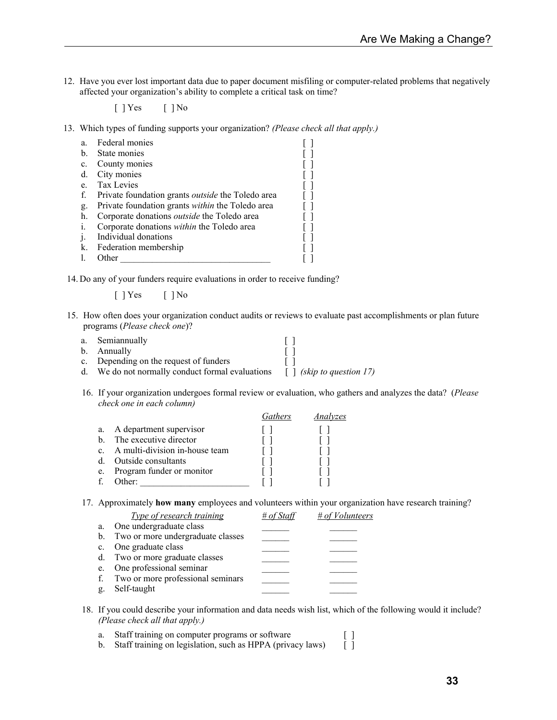12. Have you ever lost important data due to paper document misfiling or computer-related problems that negatively affected your organization's ability to complete a critical task on time?

 $[$   $]$  Yes  $[$   $]$  No

13. Which types of funding supports your organization? *(Please check all that apply.)* 

| a. | Federal monies                                           |  |
|----|----------------------------------------------------------|--|
| b. | State monies                                             |  |
| c. | County monies                                            |  |
| d. | City monies                                              |  |
| e. | Tax Levies                                               |  |
| f. | Private foundation grants <i>outside</i> the Toledo area |  |
| g. | Private foundation grants within the Toledo area         |  |
| h. | Corporate donations <i>outside</i> the Toledo area       |  |
| i. | Corporate donations within the Toledo area               |  |
|    | Individual donations                                     |  |
| k. | Federation membership                                    |  |
|    | Other                                                    |  |

14. Do any of your funders require evaluations in order to receive funding?

[ ] Yes [ ] No

15. How often does your organization conduct audits or reviews to evaluate past accomplishments or plan future programs (*Please check one*)?

| a. Semiannually                                  |                                             |
|--------------------------------------------------|---------------------------------------------|
| b. Annually                                      |                                             |
| c. Depending on the request of funders           |                                             |
| d. We do not normally conduct formal evaluations | $\lceil \cdot \rceil$ (skip to question 17) |

16. If your organization undergoes formal review or evaluation, who gathers and analyzes the data? (*Please check one in each column)* 

|              |                                | <b>Fathers</b> | Analyzes |
|--------------|--------------------------------|----------------|----------|
| a.           | A department supervisor        |                |          |
| h.           | The executive director         |                |          |
| $\mathbf{c}$ | A multi-division in-house team |                |          |
| d.           | Outside consultants            |                |          |
| e.           | Program funder or monitor      |                |          |
|              | $Other+$                       |                |          |

17. Approximately **how many** employees and volunteers within your organization have research training?

|    | Type of research training            | # of Staff | $# of Vol$ unteers |
|----|--------------------------------------|------------|--------------------|
| a. | One undergraduate class              |            |                    |
|    | b. Two or more undergraduate classes |            |                    |
|    | c. One graduate class                |            |                    |
|    | d. Two or more graduate classes      |            |                    |
|    | e. One professional seminar          |            |                    |
|    | f. Two or more professional seminars |            |                    |
|    | g. Self-taught                       |            |                    |
|    |                                      |            |                    |

- 18. If you could describe your information and data needs wish list, which of the following would it include? *(Please check all that apply.)* 
	- a. Staff training on computer programs or software [ ]<br>b. Staff training on legislation, such as HPPA (privacy laws) [ ]
	- b. Staff training on legislation, such as HPPA (privacy laws)